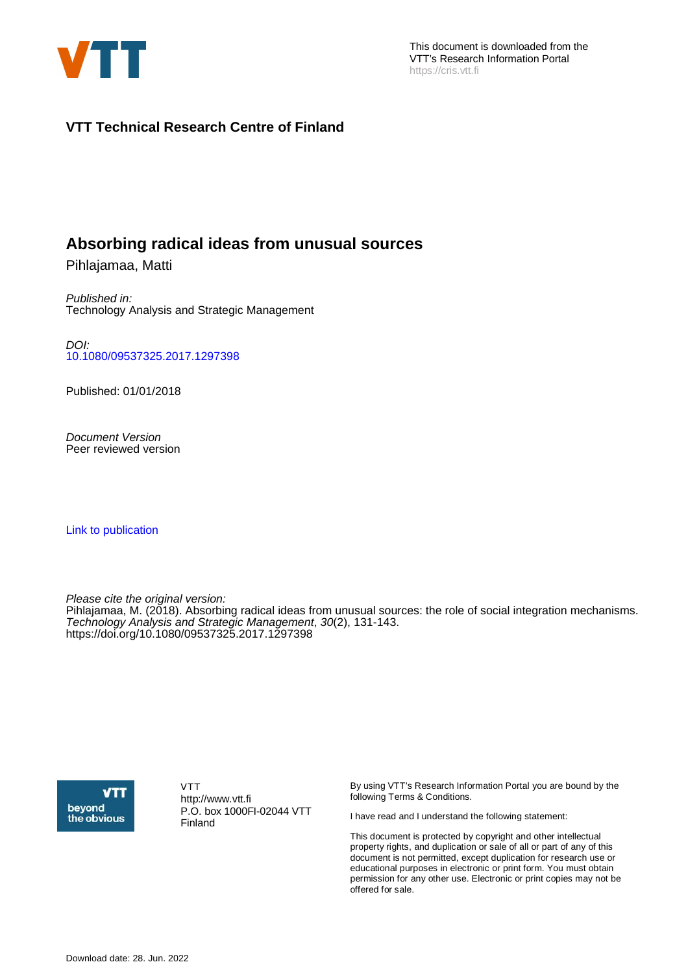

## **VTT Technical Research Centre of Finland**

# **Absorbing radical ideas from unusual sources**

Pihlajamaa, Matti

Published in: Technology Analysis and Strategic Management

DOI: [10.1080/09537325.2017.1297398](https://doi.org/10.1080/09537325.2017.1297398)

Published: 01/01/2018

Document Version Peer reviewed version

[Link to publication](https://cris.vtt.fi/en/publications/9f31d482-e821-49f2-8c92-ddae32a0f1b5)

Please cite the original version:

Pihlajamaa, M. (2018). Absorbing radical ideas from unusual sources: the role of social integration mechanisms. Technology Analysis and Strategic Management, 30(2), 131-143. <https://doi.org/10.1080/09537325.2017.1297398>



VTT http://www.vtt.fi P.O. box 1000FI-02044 VTT Finland

By using VTT's Research Information Portal you are bound by the following Terms & Conditions.

I have read and I understand the following statement:

This document is protected by copyright and other intellectual property rights, and duplication or sale of all or part of any of this document is not permitted, except duplication for research use or educational purposes in electronic or print form. You must obtain permission for any other use. Electronic or print copies may not be offered for sale.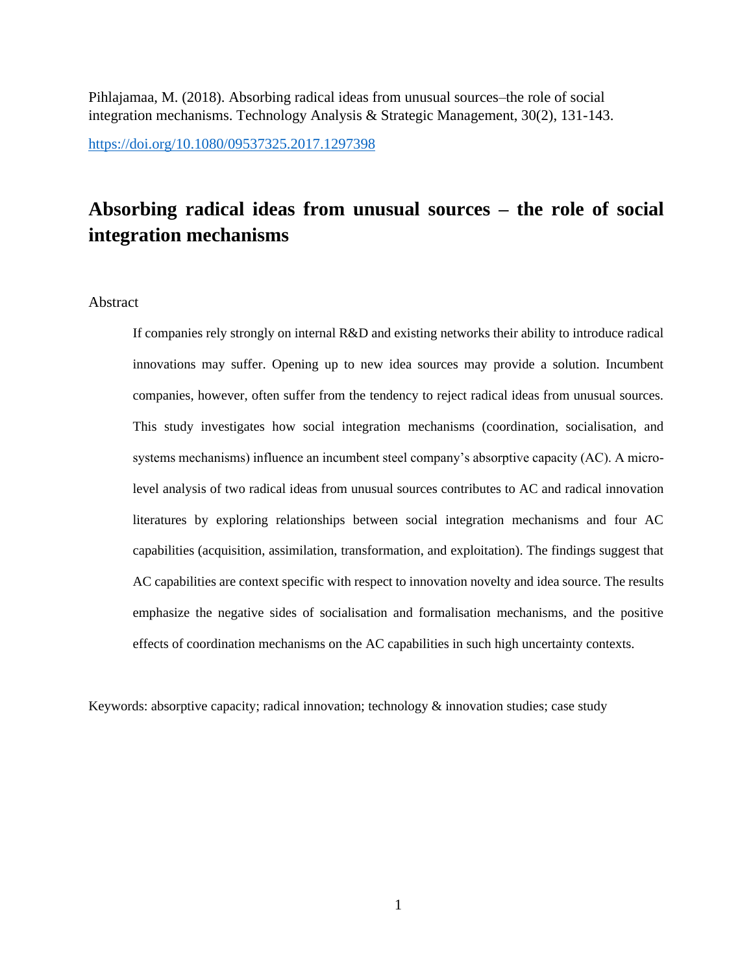Pihlajamaa, M. (2018). Absorbing radical ideas from unusual sources–the role of social integration mechanisms. Technology Analysis & Strategic Management, 30(2), 131-143.

<https://doi.org/10.1080/09537325.2017.1297398>

# **Absorbing radical ideas from unusual sources – the role of social integration mechanisms**

## Abstract

If companies rely strongly on internal R&D and existing networks their ability to introduce radical innovations may suffer. Opening up to new idea sources may provide a solution. Incumbent companies, however, often suffer from the tendency to reject radical ideas from unusual sources. This study investigates how social integration mechanisms (coordination, socialisation, and systems mechanisms) influence an incumbent steel company's absorptive capacity (AC). A microlevel analysis of two radical ideas from unusual sources contributes to AC and radical innovation literatures by exploring relationships between social integration mechanisms and four AC capabilities (acquisition, assimilation, transformation, and exploitation). The findings suggest that AC capabilities are context specific with respect to innovation novelty and idea source. The results emphasize the negative sides of socialisation and formalisation mechanisms, and the positive effects of coordination mechanisms on the AC capabilities in such high uncertainty contexts.

Keywords: absorptive capacity; radical innovation; technology & innovation studies; case study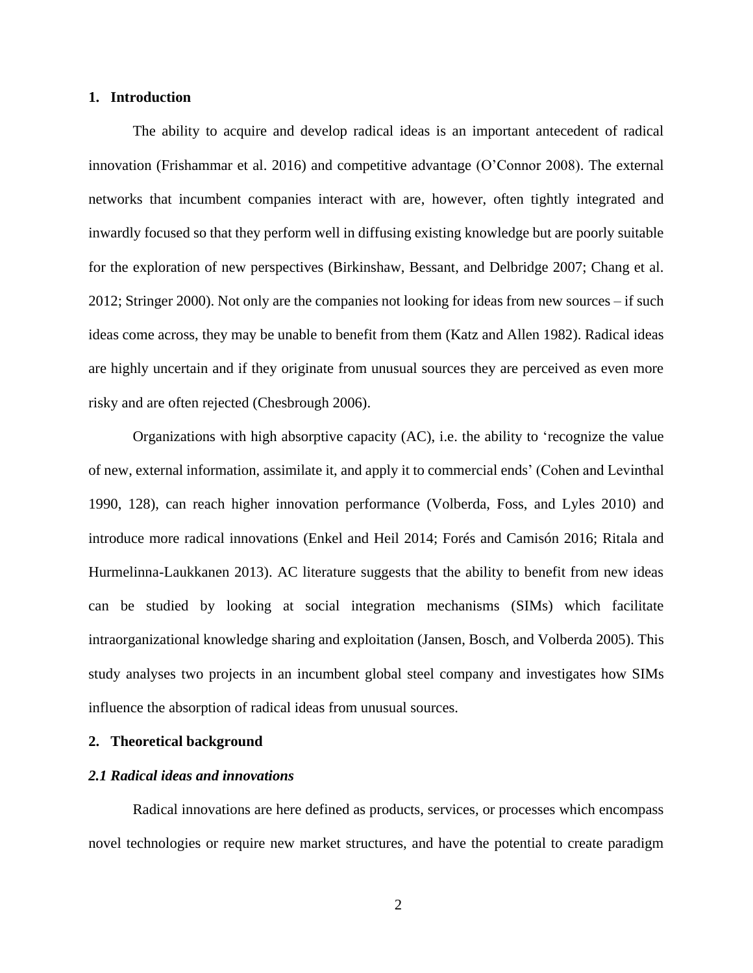## **1. Introduction**

The ability to acquire and develop radical ideas is an important antecedent of radical innovation (Frishammar et al. 2016) and competitive advantage (O'Connor 2008). The external networks that incumbent companies interact with are, however, often tightly integrated and inwardly focused so that they perform well in diffusing existing knowledge but are poorly suitable for the exploration of new perspectives (Birkinshaw, Bessant, and Delbridge 2007; Chang et al. 2012; Stringer 2000). Not only are the companies not looking for ideas from new sources – if such ideas come across, they may be unable to benefit from them (Katz and Allen 1982). Radical ideas are highly uncertain and if they originate from unusual sources they are perceived as even more risky and are often rejected (Chesbrough 2006).

Organizations with high absorptive capacity (AC), i.e. the ability to 'recognize the value of new, external information, assimilate it, and apply it to commercial ends' (Cohen and Levinthal 1990, 128), can reach higher innovation performance (Volberda, Foss, and Lyles 2010) and introduce more radical innovations (Enkel and Heil 2014; Forés and Camisón 2016; Ritala and Hurmelinna-Laukkanen 2013). AC literature suggests that the ability to benefit from new ideas can be studied by looking at social integration mechanisms (SIMs) which facilitate intraorganizational knowledge sharing and exploitation (Jansen, Bosch, and Volberda 2005). This study analyses two projects in an incumbent global steel company and investigates how SIMs influence the absorption of radical ideas from unusual sources.

#### **2. Theoretical background**

### *2.1 Radical ideas and innovations*

Radical innovations are here defined as products, services, or processes which encompass novel technologies or require new market structures, and have the potential to create paradigm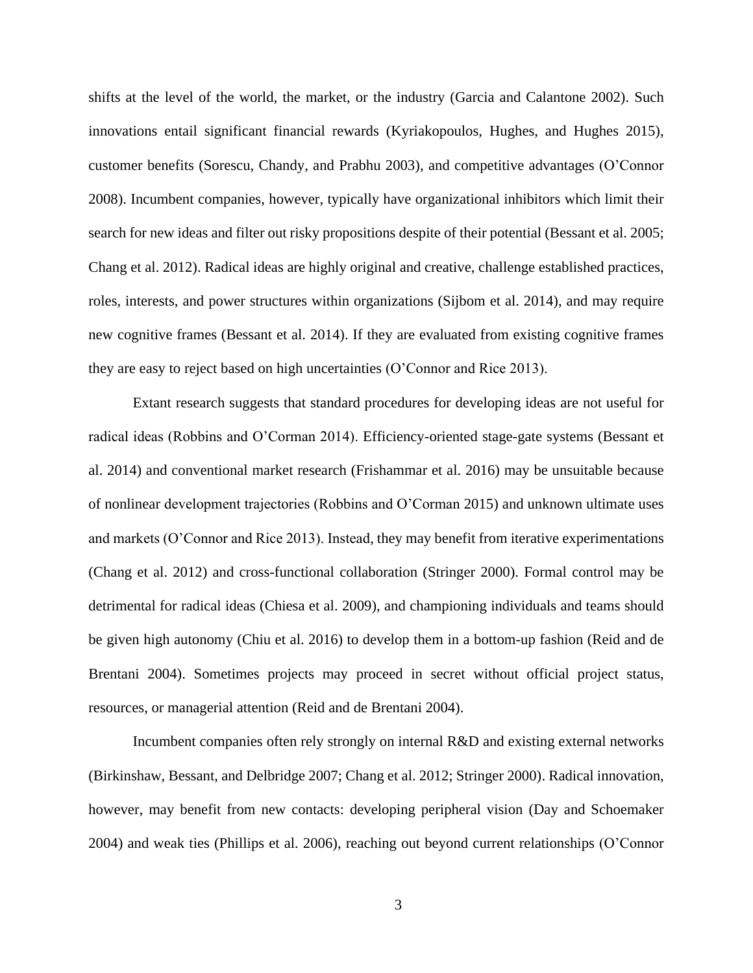shifts at the level of the world, the market, or the industry (Garcia and Calantone 2002). Such innovations entail significant financial rewards (Kyriakopoulos, Hughes, and Hughes 2015), customer benefits (Sorescu, Chandy, and Prabhu 2003), and competitive advantages (O'Connor 2008). Incumbent companies, however, typically have organizational inhibitors which limit their search for new ideas and filter out risky propositions despite of their potential (Bessant et al. 2005; Chang et al. 2012). Radical ideas are highly original and creative, challenge established practices, roles, interests, and power structures within organizations (Sijbom et al. 2014), and may require new cognitive frames (Bessant et al. 2014). If they are evaluated from existing cognitive frames they are easy to reject based on high uncertainties (O'Connor and Rice 2013).

Extant research suggests that standard procedures for developing ideas are not useful for radical ideas (Robbins and O'Corman 2014). Efficiency-oriented stage-gate systems (Bessant et al. 2014) and conventional market research (Frishammar et al. 2016) may be unsuitable because of nonlinear development trajectories (Robbins and O'Corman 2015) and unknown ultimate uses and markets (O'Connor and Rice 2013). Instead, they may benefit from iterative experimentations (Chang et al. 2012) and cross-functional collaboration (Stringer 2000). Formal control may be detrimental for radical ideas (Chiesa et al. 2009), and championing individuals and teams should be given high autonomy (Chiu et al. 2016) to develop them in a bottom-up fashion (Reid and de Brentani 2004). Sometimes projects may proceed in secret without official project status, resources, or managerial attention (Reid and de Brentani 2004).

Incumbent companies often rely strongly on internal R&D and existing external networks (Birkinshaw, Bessant, and Delbridge 2007; Chang et al. 2012; Stringer 2000). Radical innovation, however, may benefit from new contacts: developing peripheral vision (Day and Schoemaker 2004) and weak ties (Phillips et al. 2006), reaching out beyond current relationships (O'Connor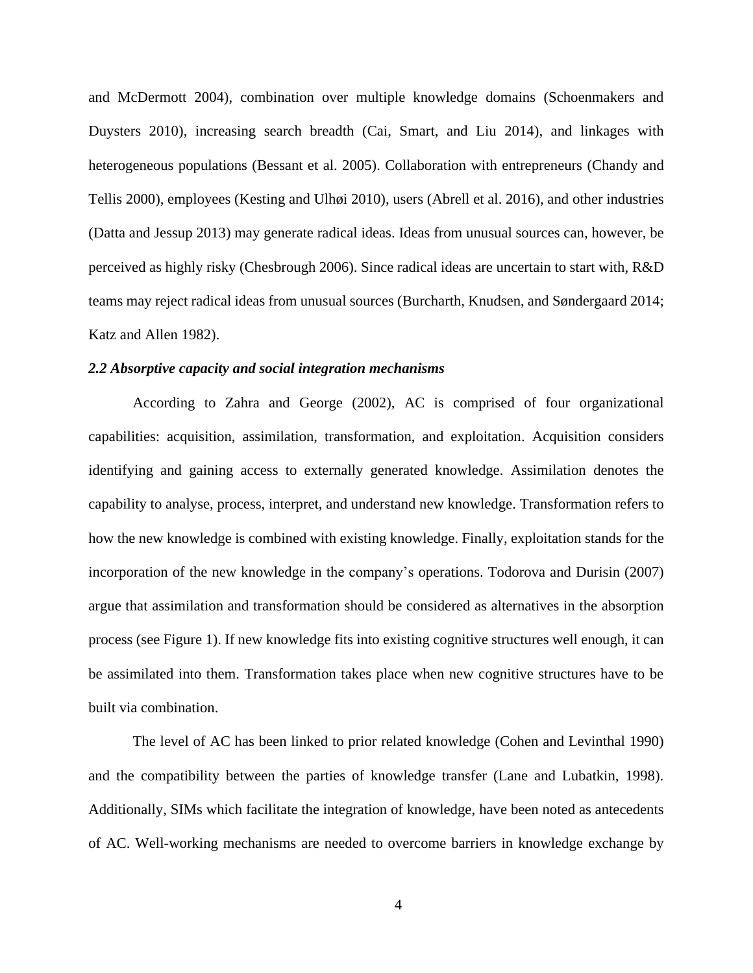and McDermott 2004), combination over multiple knowledge domains (Schoenmakers and Duysters 2010), increasing search breadth (Cai, Smart, and Liu 2014), and linkages with heterogeneous populations (Bessant et al. 2005). Collaboration with entrepreneurs (Chandy and Tellis 2000), employees (Kesting and Ulhøi 2010), users (Abrell et al. 2016), and other industries (Datta and Jessup 2013) may generate radical ideas. Ideas from unusual sources can, however, be perceived as highly risky (Chesbrough 2006). Since radical ideas are uncertain to start with, R&D teams may reject radical ideas from unusual sources (Burcharth, Knudsen, and Søndergaard 2014; Katz and Allen 1982).

## *2.2 Absorptive capacity and social integration mechanisms*

According to Zahra and George (2002), AC is comprised of four organizational capabilities: acquisition, assimilation, transformation, and exploitation. Acquisition considers identifying and gaining access to externally generated knowledge. Assimilation denotes the capability to analyse, process, interpret, and understand new knowledge. Transformation refers to how the new knowledge is combined with existing knowledge. Finally, exploitation stands for the incorporation of the new knowledge in the company's operations. Todorova and Durisin (2007) argue that assimilation and transformation should be considered as alternatives in the absorption process (see Figure 1). If new knowledge fits into existing cognitive structures well enough, it can be assimilated into them. Transformation takes place when new cognitive structures have to be built via combination.

The level of AC has been linked to prior related knowledge (Cohen and Levinthal 1990) and the compatibility between the parties of knowledge transfer (Lane and Lubatkin, 1998). Additionally, SIMs which facilitate the integration of knowledge, have been noted as antecedents of AC. Well-working mechanisms are needed to overcome barriers in knowledge exchange by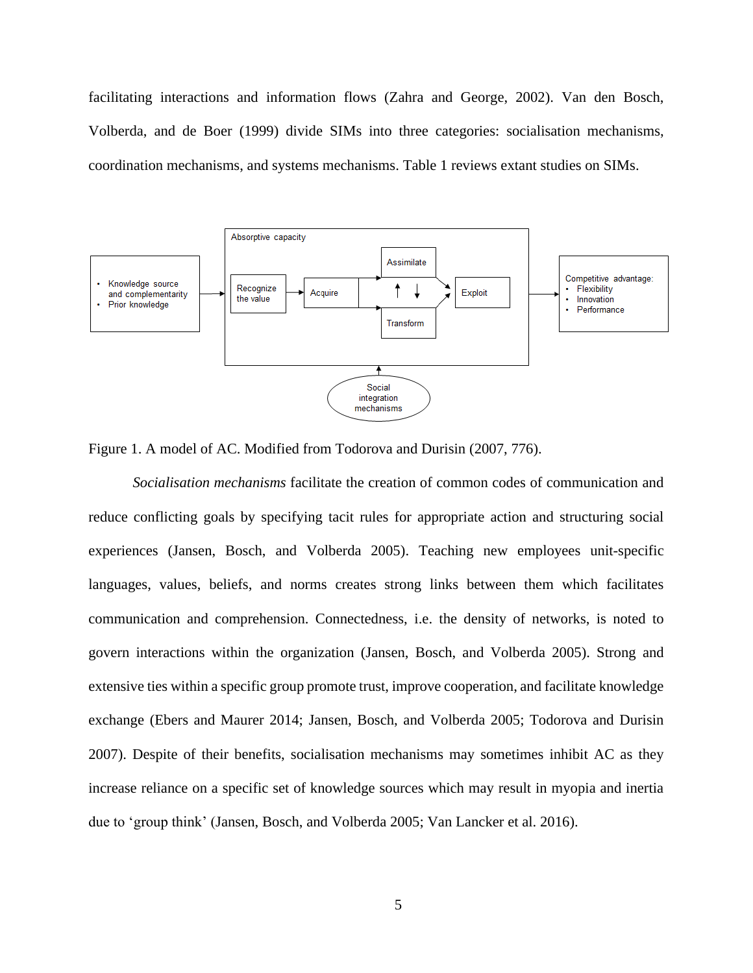facilitating interactions and information flows (Zahra and George, 2002). Van den Bosch, Volberda, and de Boer (1999) divide SIMs into three categories: socialisation mechanisms, coordination mechanisms, and systems mechanisms. Table 1 reviews extant studies on SIMs.



Figure 1. A model of AC. Modified from Todorova and Durisin (2007, 776).

*Socialisation mechanisms* facilitate the creation of common codes of communication and reduce conflicting goals by specifying tacit rules for appropriate action and structuring social experiences (Jansen, Bosch, and Volberda 2005). Teaching new employees unit-specific languages, values, beliefs, and norms creates strong links between them which facilitates communication and comprehension. Connectedness, i.e. the density of networks, is noted to govern interactions within the organization (Jansen, Bosch, and Volberda 2005). Strong and extensive ties within a specific group promote trust, improve cooperation, and facilitate knowledge exchange (Ebers and Maurer 2014; Jansen, Bosch, and Volberda 2005; Todorova and Durisin 2007). Despite of their benefits, socialisation mechanisms may sometimes inhibit AC as they increase reliance on a specific set of knowledge sources which may result in myopia and inertia due to 'group think' (Jansen, Bosch, and Volberda 2005; Van Lancker et al. 2016).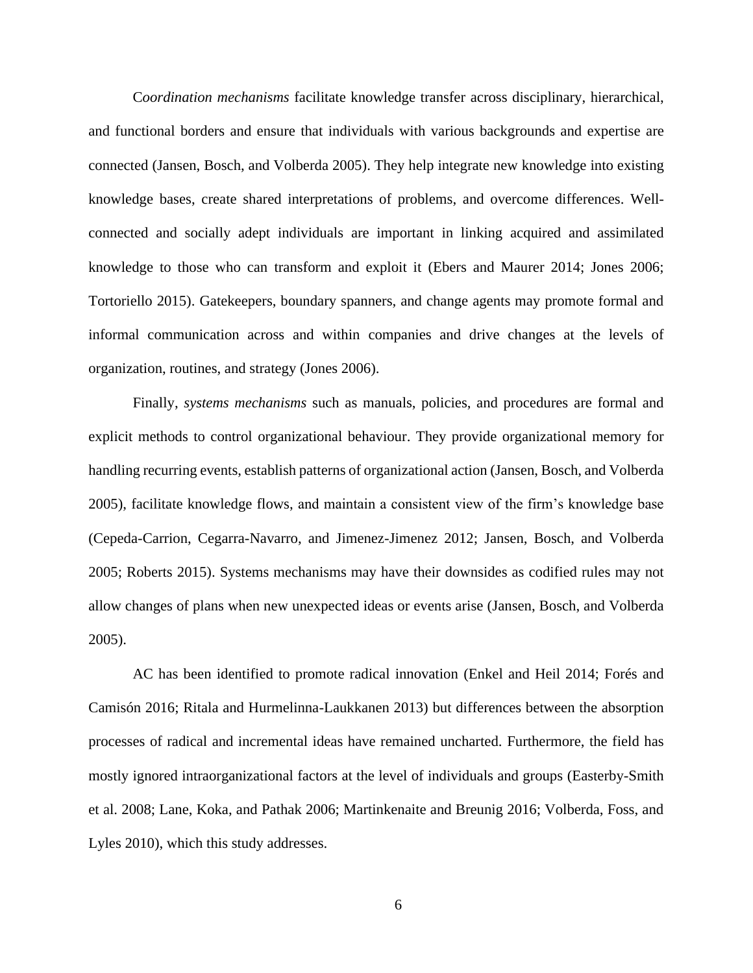C*oordination mechanisms* facilitate knowledge transfer across disciplinary, hierarchical, and functional borders and ensure that individuals with various backgrounds and expertise are connected (Jansen, Bosch, and Volberda 2005). They help integrate new knowledge into existing knowledge bases, create shared interpretations of problems, and overcome differences. Wellconnected and socially adept individuals are important in linking acquired and assimilated knowledge to those who can transform and exploit it (Ebers and Maurer 2014; Jones 2006; Tortoriello 2015). Gatekeepers, boundary spanners, and change agents may promote formal and informal communication across and within companies and drive changes at the levels of organization, routines, and strategy (Jones 2006).

Finally, *systems mechanisms* such as manuals, policies, and procedures are formal and explicit methods to control organizational behaviour. They provide organizational memory for handling recurring events, establish patterns of organizational action (Jansen, Bosch, and Volberda 2005), facilitate knowledge flows, and maintain a consistent view of the firm's knowledge base (Cepeda-Carrion, Cegarra-Navarro, and Jimenez-Jimenez 2012; Jansen, Bosch, and Volberda 2005; Roberts 2015). Systems mechanisms may have their downsides as codified rules may not allow changes of plans when new unexpected ideas or events arise (Jansen, Bosch, and Volberda 2005).

AC has been identified to promote radical innovation (Enkel and Heil 2014; Forés and Camisón 2016; Ritala and Hurmelinna-Laukkanen 2013) but differences between the absorption processes of radical and incremental ideas have remained uncharted. Furthermore, the field has mostly ignored intraorganizational factors at the level of individuals and groups (Easterby-Smith et al. 2008; Lane, Koka, and Pathak 2006; Martinkenaite and Breunig 2016; Volberda, Foss, and Lyles 2010), which this study addresses.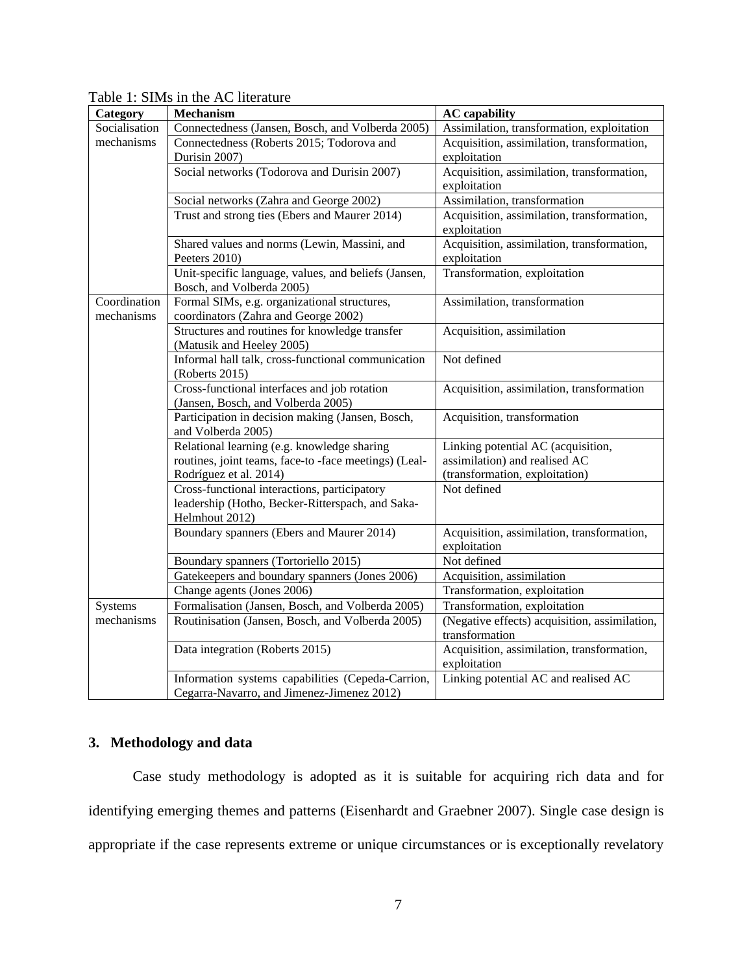| Table 1: SIMs in the AC literature |
|------------------------------------|
|------------------------------------|

| <b>Category</b>            | <b>Mechanism</b>                                                                                                   | <b>AC</b> capability                                       |
|----------------------------|--------------------------------------------------------------------------------------------------------------------|------------------------------------------------------------|
| Socialisation              | Connectedness (Jansen, Bosch, and Volberda 2005)                                                                   | Assimilation, transformation, exploitation                 |
| mechanisms                 | Connectedness (Roberts 2015; Todorova and                                                                          | Acquisition, assimilation, transformation,                 |
|                            | Durisin 2007)                                                                                                      | exploitation                                               |
|                            | Social networks (Todorova and Durisin 2007)                                                                        | Acquisition, assimilation, transformation,                 |
|                            |                                                                                                                    | exploitation                                               |
|                            | Social networks (Zahra and George 2002)                                                                            | Assimilation, transformation                               |
|                            | Trust and strong ties (Ebers and Maurer 2014)                                                                      | Acquisition, assimilation, transformation,<br>exploitation |
|                            | Shared values and norms (Lewin, Massini, and                                                                       | Acquisition, assimilation, transformation,                 |
|                            | Peeters 2010)                                                                                                      | exploitation                                               |
|                            | Unit-specific language, values, and beliefs (Jansen,<br>Bosch, and Volberda 2005)                                  | Transformation, exploitation                               |
| Coordination<br>mechanisms | Formal SIMs, e.g. organizational structures,<br>coordinators (Zahra and George 2002)                               | Assimilation, transformation                               |
|                            | Structures and routines for knowledge transfer<br>(Matusik and Heeley 2005)                                        | Acquisition, assimilation                                  |
|                            | Informal hall talk, cross-functional communication<br>(Roberts 2015)                                               | Not defined                                                |
|                            | Cross-functional interfaces and job rotation<br>(Jansen, Bosch, and Volberda 2005)                                 | Acquisition, assimilation, transformation                  |
|                            | Participation in decision making (Jansen, Bosch,<br>and Volberda 2005)                                             | Acquisition, transformation                                |
|                            | Relational learning (e.g. knowledge sharing                                                                        | Linking potential AC (acquisition,                         |
|                            | routines, joint teams, face-to-face meetings) (Leal-                                                               | assimilation) and realised AC                              |
|                            | Rodríguez et al. 2014)                                                                                             | (transformation, exploitation)                             |
|                            | Cross-functional interactions, participatory<br>leadership (Hotho, Becker-Ritterspach, and Saka-<br>Helmhout 2012) | Not defined                                                |
|                            | Boundary spanners (Ebers and Maurer 2014)                                                                          | Acquisition, assimilation, transformation,<br>exploitation |
|                            | Boundary spanners (Tortoriello 2015)                                                                               | Not defined                                                |
|                            | Gatekeepers and boundary spanners (Jones 2006)                                                                     | Acquisition, assimilation                                  |
|                            | Change agents (Jones 2006)                                                                                         | Transformation, exploitation                               |
| Systems                    | Formalisation (Jansen, Bosch, and Volberda 2005)                                                                   | Transformation, exploitation                               |
| mechanisms                 | Routinisation (Jansen, Bosch, and Volberda 2005)                                                                   | (Negative effects) acquisition, assimilation,              |
|                            |                                                                                                                    | transformation                                             |
|                            | Data integration (Roberts 2015)                                                                                    | Acquisition, assimilation, transformation,<br>exploitation |
|                            | Information systems capabilities (Cepeda-Carrion,                                                                  | Linking potential AC and realised AC                       |
|                            | Cegarra-Navarro, and Jimenez-Jimenez 2012)                                                                         |                                                            |

## **3. Methodology and data**

Case study methodology is adopted as it is suitable for acquiring rich data and for identifying emerging themes and patterns (Eisenhardt and Graebner 2007). Single case design is appropriate if the case represents extreme or unique circumstances or is exceptionally revelatory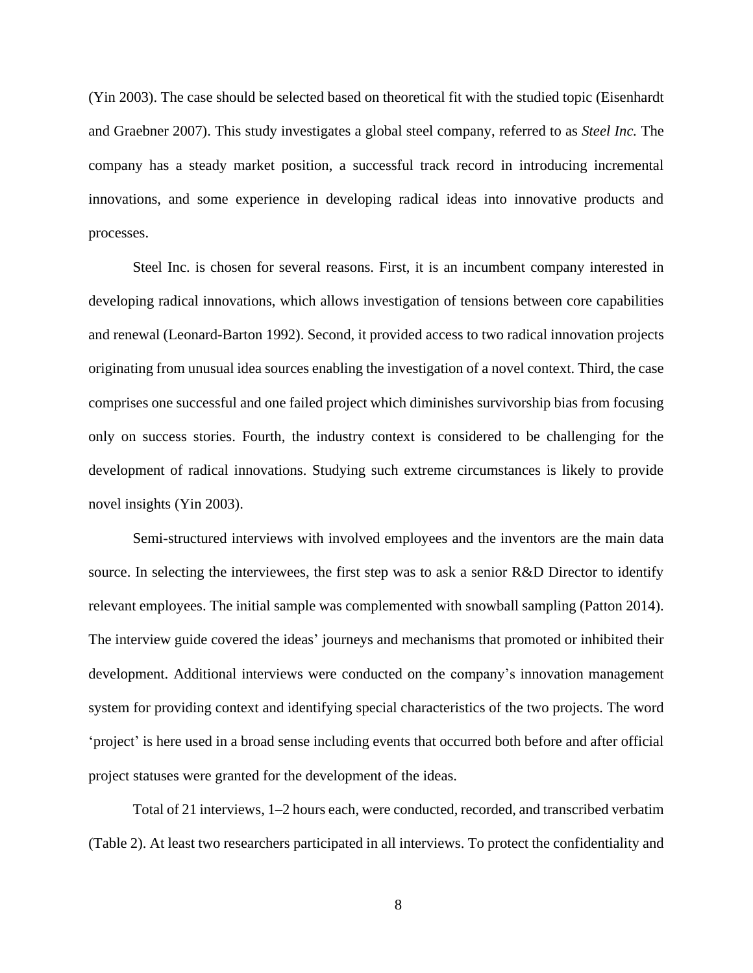(Yin 2003). The case should be selected based on theoretical fit with the studied topic (Eisenhardt and Graebner 2007). This study investigates a global steel company, referred to as *Steel Inc.* The company has a steady market position, a successful track record in introducing incremental innovations, and some experience in developing radical ideas into innovative products and processes.

Steel Inc. is chosen for several reasons. First, it is an incumbent company interested in developing radical innovations, which allows investigation of tensions between core capabilities and renewal (Leonard-Barton 1992). Second, it provided access to two radical innovation projects originating from unusual idea sources enabling the investigation of a novel context. Third, the case comprises one successful and one failed project which diminishes survivorship bias from focusing only on success stories. Fourth, the industry context is considered to be challenging for the development of radical innovations. Studying such extreme circumstances is likely to provide novel insights (Yin 2003).

Semi-structured interviews with involved employees and the inventors are the main data source. In selecting the interviewees, the first step was to ask a senior R&D Director to identify relevant employees. The initial sample was complemented with snowball sampling (Patton 2014). The interview guide covered the ideas' journeys and mechanisms that promoted or inhibited their development. Additional interviews were conducted on the company's innovation management system for providing context and identifying special characteristics of the two projects. The word 'project' is here used in a broad sense including events that occurred both before and after official project statuses were granted for the development of the ideas.

Total of 21 interviews, 1–2 hours each, were conducted, recorded, and transcribed verbatim (Table 2). At least two researchers participated in all interviews. To protect the confidentiality and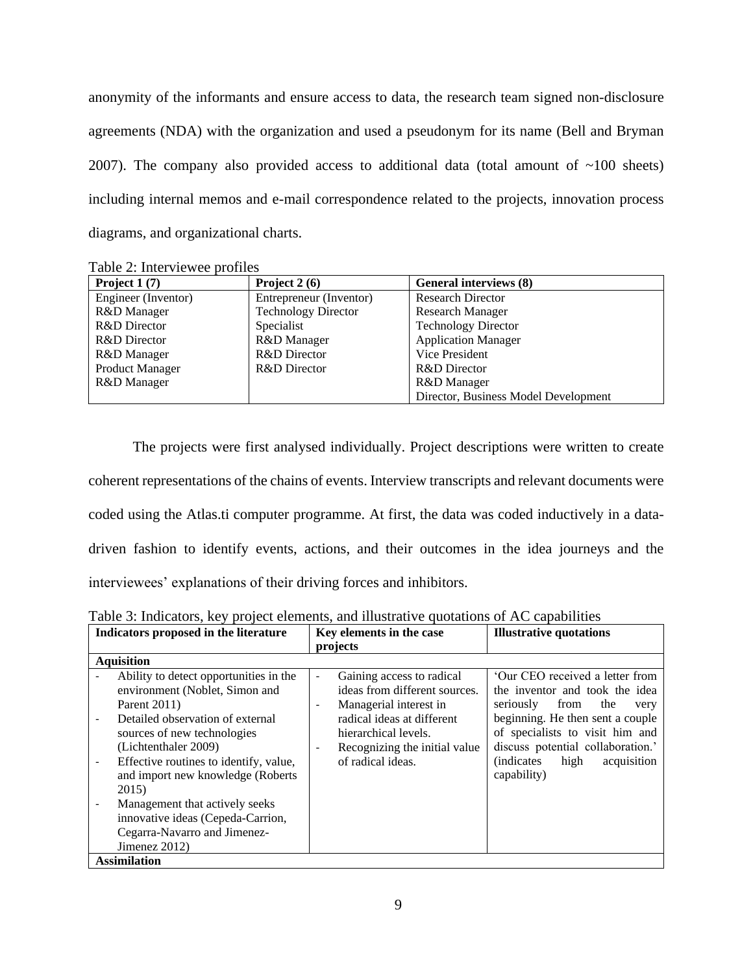anonymity of the informants and ensure access to data, the research team signed non-disclosure agreements (NDA) with the organization and used a pseudonym for its name (Bell and Bryman 2007). The company also provided access to additional data (total amount of  $\sim$ 100 sheets) including internal memos and e-mail correspondence related to the projects, innovation process diagrams, and organizational charts.

| Project $1(7)$         | Project $2(6)$             | General interviews (8)               |
|------------------------|----------------------------|--------------------------------------|
| Engineer (Inventor)    | Entrepreneur (Inventor)    | <b>Research Director</b>             |
| R&D Manager            | <b>Technology Director</b> | <b>Research Manager</b>              |
| R&D Director           | Specialist                 | <b>Technology Director</b>           |
| R&D Director           | R&D Manager                | <b>Application Manager</b>           |
| R&D Manager            | R&D Director               | Vice President                       |
| <b>Product Manager</b> | <b>R&amp;D</b> Director    | R&D Director                         |
| R&D Manager            |                            | R&D Manager                          |
|                        |                            | Director, Business Model Development |

Table 2: Interviewee profiles

The projects were first analysed individually. Project descriptions were written to create coherent representations of the chains of events. Interview transcripts and relevant documents were coded using the Atlas.ti computer programme. At first, the data was coded inductively in a datadriven fashion to identify events, actions, and their outcomes in the idea journeys and the interviewees' explanations of their driving forces and inhibitors.

| Indicators proposed in the literature                                                                                                                                                                                                                                                                                                                                                               | Key elements in the case                                                                                                                                                                                                                                                             | <b>Illustrative quotations</b>                                                                                                                                                                                                                                                |
|-----------------------------------------------------------------------------------------------------------------------------------------------------------------------------------------------------------------------------------------------------------------------------------------------------------------------------------------------------------------------------------------------------|--------------------------------------------------------------------------------------------------------------------------------------------------------------------------------------------------------------------------------------------------------------------------------------|-------------------------------------------------------------------------------------------------------------------------------------------------------------------------------------------------------------------------------------------------------------------------------|
|                                                                                                                                                                                                                                                                                                                                                                                                     | projects                                                                                                                                                                                                                                                                             |                                                                                                                                                                                                                                                                               |
| <b>Aquisition</b>                                                                                                                                                                                                                                                                                                                                                                                   |                                                                                                                                                                                                                                                                                      |                                                                                                                                                                                                                                                                               |
| Ability to detect opportunities in the<br>environment (Noblet, Simon and<br>Parent 2011)<br>Detailed observation of external<br>sources of new technologies<br>(Lichtenthaler 2009)<br>Effective routines to identify, value,<br>and import new knowledge (Roberts<br>2015)<br>Management that actively seeks<br>innovative ideas (Cepeda-Carrion,<br>Cegarra-Navarro and Jimenez-<br>Jimenez 2012) | Gaining access to radical<br>$\overline{\phantom{0}}$<br>ideas from different sources.<br>Managerial interest in<br>$\overline{\phantom{a}}$<br>radical ideas at different<br>hierarchical levels.<br>Recognizing the initial value<br>$\overline{\phantom{a}}$<br>of radical ideas. | 'Our CEO received a letter from<br>the inventor and took the idea<br>seriously<br>from<br>the<br>very<br>beginning. He then sent a couple<br>of specialists to visit him and<br>discuss potential collaboration.'<br><i>(indicates)</i><br>high<br>acquisition<br>capability) |
| <b>Assimilation</b>                                                                                                                                                                                                                                                                                                                                                                                 |                                                                                                                                                                                                                                                                                      |                                                                                                                                                                                                                                                                               |

Table 3: Indicators, key project elements, and illustrative quotations of AC capabilities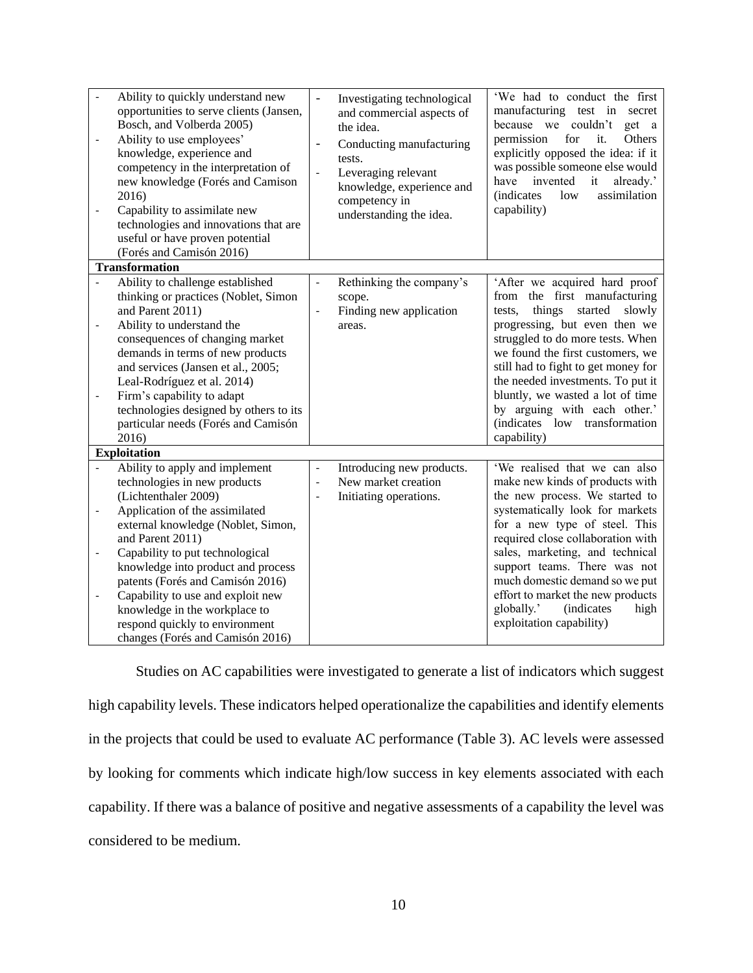| $\qquad \qquad \blacksquare$                                                         | Ability to quickly understand new<br>opportunities to serve clients (Jansen,<br>Bosch, and Volberda 2005)<br>Ability to use employees'<br>knowledge, experience and<br>competency in the interpretation of<br>new knowledge (Forés and Camison                                                                                                                                                            | $\frac{1}{2}$<br>$\overline{\phantom{a}}$<br>$\Box$  | Investigating technological<br>and commercial aspects of<br>the idea.<br>Conducting manufacturing<br>tests.<br>Leveraging relevant | 'We had to conduct the first<br>manufacturing test in secret<br>because we couldn't<br>get a<br>permission<br>for<br>it.<br>Others<br>explicitly opposed the idea: if it<br>was possible someone else would<br>invented<br>it<br>already.'<br>have                                                                                                                                                              |
|--------------------------------------------------------------------------------------|-----------------------------------------------------------------------------------------------------------------------------------------------------------------------------------------------------------------------------------------------------------------------------------------------------------------------------------------------------------------------------------------------------------|------------------------------------------------------|------------------------------------------------------------------------------------------------------------------------------------|-----------------------------------------------------------------------------------------------------------------------------------------------------------------------------------------------------------------------------------------------------------------------------------------------------------------------------------------------------------------------------------------------------------------|
| $\overline{\phantom{0}}$                                                             | 2016)<br>Capability to assimilate new<br>technologies and innovations that are<br>useful or have proven potential<br>(Forés and Camisón 2016)                                                                                                                                                                                                                                                             |                                                      | knowledge, experience and<br>competency in<br>understanding the idea.                                                              | assimilation<br><i>(indicates)</i><br>low<br>capability)                                                                                                                                                                                                                                                                                                                                                        |
|                                                                                      | <b>Transformation</b>                                                                                                                                                                                                                                                                                                                                                                                     |                                                      |                                                                                                                                    |                                                                                                                                                                                                                                                                                                                                                                                                                 |
| $\qquad \qquad \blacksquare$<br>$\qquad \qquad -$                                    | Ability to challenge established<br>thinking or practices (Noblet, Simon<br>and Parent 2011)<br>Ability to understand the<br>consequences of changing market<br>demands in terms of new products<br>and services (Jansen et al., 2005;<br>Leal-Rodríguez et al. 2014)<br>Firm's capability to adapt<br>technologies designed by others to its<br>particular needs (Forés and Camisón<br>2016)             | $\overline{\phantom{a}}$<br>$\overline{\phantom{a}}$ | Rethinking the company's<br>scope.<br>Finding new application<br>areas.                                                            | 'After we acquired hard proof<br>from the first manufacturing<br>things<br>started<br>slowly<br>tests,<br>progressing, but even then we<br>struggled to do more tests. When<br>we found the first customers, we<br>still had to fight to get money for<br>the needed investments. To put it<br>bluntly, we wasted a lot of time<br>by arguing with each other.'<br>(indicates low transformation<br>capability) |
|                                                                                      | <b>Exploitation</b><br>Ability to apply and implement                                                                                                                                                                                                                                                                                                                                                     |                                                      | Introducing new products.                                                                                                          | 'We realised that we can also                                                                                                                                                                                                                                                                                                                                                                                   |
| $\overline{\phantom{0}}$<br>$\qquad \qquad \blacksquare$<br>$\overline{\phantom{0}}$ | technologies in new products<br>(Lichtenthaler 2009)<br>Application of the assimilated<br>external knowledge (Noblet, Simon,<br>and Parent 2011)<br>Capability to put technological<br>knowledge into product and process<br>patents (Forés and Camisón 2016)<br>Capability to use and exploit new<br>knowledge in the workplace to<br>respond quickly to environment<br>changes (Forés and Camisón 2016) |                                                      | New market creation<br>Initiating operations.                                                                                      | make new kinds of products with<br>the new process. We started to<br>systematically look for markets<br>for a new type of steel. This<br>required close collaboration with<br>sales, marketing, and technical<br>support teams. There was not<br>much domestic demand so we put<br>effort to market the new products<br>globally.'<br><i>(indicates)</i><br>high<br>exploitation capability)                    |

Studies on AC capabilities were investigated to generate a list of indicators which suggest high capability levels. These indicators helped operationalize the capabilities and identify elements in the projects that could be used to evaluate AC performance (Table 3). AC levels were assessed by looking for comments which indicate high/low success in key elements associated with each capability. If there was a balance of positive and negative assessments of a capability the level was considered to be medium.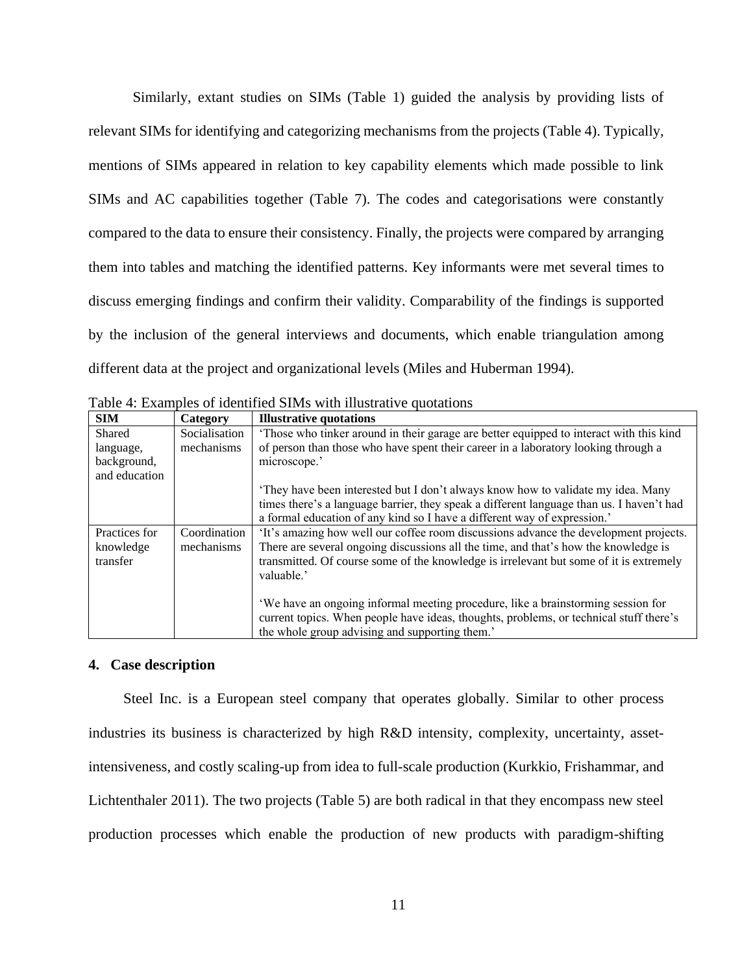Similarly, extant studies on SIMs (Table 1) guided the analysis by providing lists of relevant SIMs for identifying and categorizing mechanisms from the projects (Table 4). Typically, mentions of SIMs appeared in relation to key capability elements which made possible to link SIMs and AC capabilities together (Table 7). The codes and categorisations were constantly compared to the data to ensure their consistency. Finally, the projects were compared by arranging them into tables and matching the identified patterns. Key informants were met several times to discuss emerging findings and confirm their validity. Comparability of the findings is supported by the inclusion of the general interviews and documents, which enable triangulation among different data at the project and organizational levels (Miles and Huberman 1994).

| <b>SIM</b>    | Category      | <b>Illustrative quotations</b>                                                           |
|---------------|---------------|------------------------------------------------------------------------------------------|
| Shared        | Socialisation | 'Those who tinker around in their garage are better equipped to interact with this kind  |
| language,     | mechanisms    | of person than those who have spent their career in a laboratory looking through a       |
| background,   |               | microscope.'                                                                             |
| and education |               |                                                                                          |
|               |               | 'They have been interested but I don't always know how to validate my idea. Many         |
|               |               | times there's a language barrier, they speak a different language than us. I haven't had |
|               |               | a formal education of any kind so I have a different way of expression.'                 |
| Practices for | Coordination  | 'It's amazing how well our coffee room discussions advance the development projects.     |
| knowledge     | mechanisms    | There are several ongoing discussions all the time, and that's how the knowledge is      |
| transfer      |               | transmitted. Of course some of the knowledge is irrelevant but some of it is extremely   |
|               |               | valuable.'                                                                               |
|               |               |                                                                                          |
|               |               | 'We have an ongoing informal meeting procedure, like a brainstorming session for         |
|               |               | current topics. When people have ideas, thoughts, problems, or technical stuff there's   |
|               |               | the whole group advising and supporting them.'                                           |

Table 4: Examples of identified SIMs with illustrative quotations

## **4. Case description**

Steel Inc. is a European steel company that operates globally. Similar to other process industries its business is characterized by high R&D intensity, complexity, uncertainty, assetintensiveness, and costly scaling-up from idea to full-scale production (Kurkkio, Frishammar, and Lichtenthaler 2011). The two projects (Table 5) are both radical in that they encompass new steel production processes which enable the production of new products with paradigm-shifting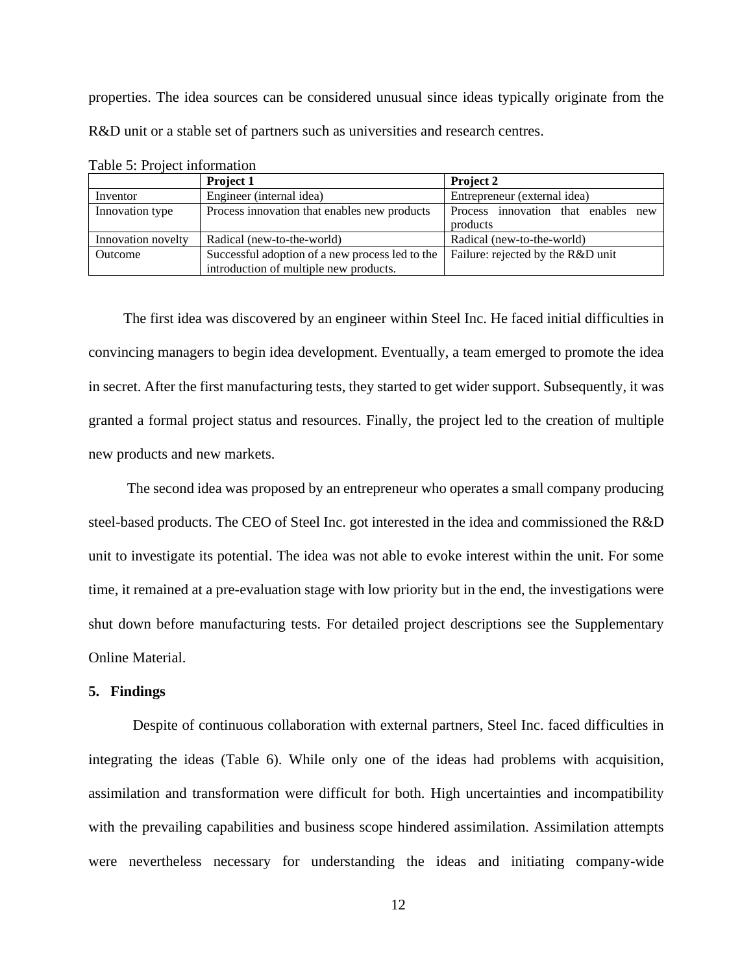properties. The idea sources can be considered unusual since ideas typically originate from the R&D unit or a stable set of partners such as universities and research centres.

|                    | Project 1                                       | Project 2                           |
|--------------------|-------------------------------------------------|-------------------------------------|
| Inventor           | Engineer (internal idea)                        | Entrepreneur (external idea)        |
| Innovation type    | Process innovation that enables new products    | Process innovation that enables new |
|                    |                                                 | products                            |
| Innovation novelty | Radical (new-to-the-world)                      | Radical (new-to-the-world)          |
| Outcome            | Successful adoption of a new process led to the | Failure: rejected by the R&D unit   |
|                    | introduction of multiple new products.          |                                     |

Table 5: Project information

The first idea was discovered by an engineer within Steel Inc. He faced initial difficulties in convincing managers to begin idea development. Eventually, a team emerged to promote the idea in secret. After the first manufacturing tests, they started to get wider support. Subsequently, it was granted a formal project status and resources. Finally, the project led to the creation of multiple new products and new markets.

The second idea was proposed by an entrepreneur who operates a small company producing steel-based products. The CEO of Steel Inc. got interested in the idea and commissioned the R&D unit to investigate its potential. The idea was not able to evoke interest within the unit. For some time, it remained at a pre-evaluation stage with low priority but in the end, the investigations were shut down before manufacturing tests. For detailed project descriptions see the Supplementary Online Material.

## **5. Findings**

Despite of continuous collaboration with external partners, Steel Inc. faced difficulties in integrating the ideas (Table 6). While only one of the ideas had problems with acquisition, assimilation and transformation were difficult for both. High uncertainties and incompatibility with the prevailing capabilities and business scope hindered assimilation. Assimilation attempts were nevertheless necessary for understanding the ideas and initiating company-wide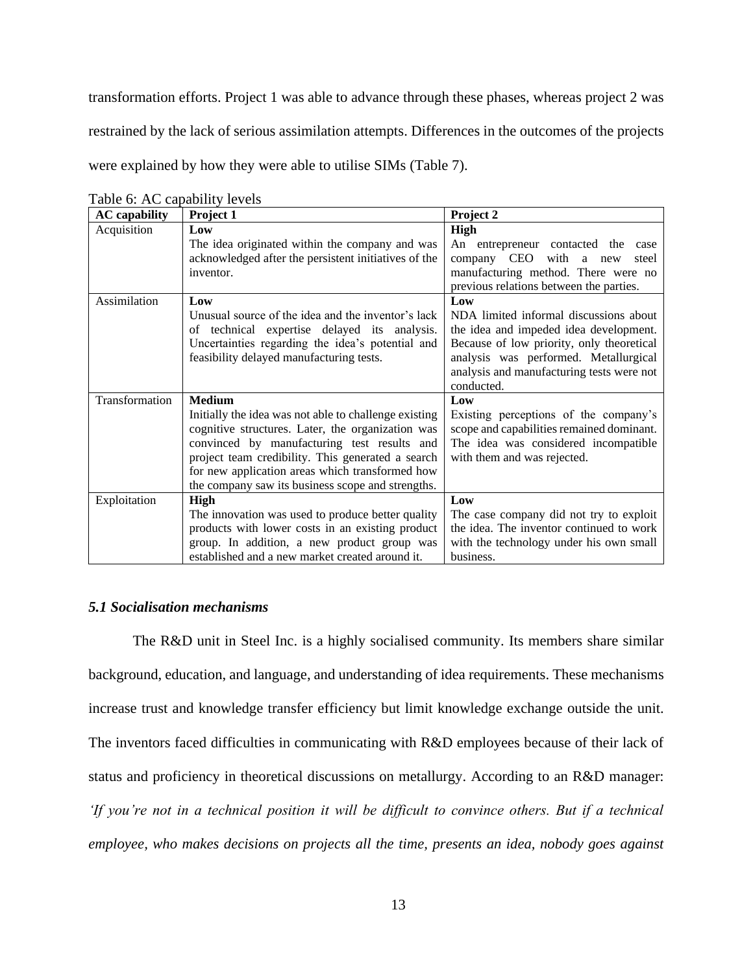transformation efforts. Project 1 was able to advance through these phases, whereas project 2 was restrained by the lack of serious assimilation attempts. Differences in the outcomes of the projects were explained by how they were able to utilise SIMs (Table 7).

| <b>AC</b> capability | Project 1                                             | Project 2                                 |
|----------------------|-------------------------------------------------------|-------------------------------------------|
| Acquisition          | Low                                                   | <b>High</b>                               |
|                      | The idea originated within the company and was        | An entrepreneur contacted the<br>case     |
|                      | acknowledged after the persistent initiatives of the  | company CEO<br>with a new<br>steel        |
|                      | inventor.                                             | manufacturing method. There were no       |
|                      |                                                       | previous relations between the parties.   |
| Assimilation         | Low                                                   | Low                                       |
|                      | Unusual source of the idea and the inventor's lack    | NDA limited informal discussions about    |
|                      | of technical expertise delayed its analysis.          | the idea and impeded idea development.    |
|                      | Uncertainties regarding the idea's potential and      | Because of low priority, only theoretical |
|                      | feasibility delayed manufacturing tests.              | analysis was performed. Metallurgical     |
|                      |                                                       | analysis and manufacturing tests were not |
|                      |                                                       | conducted.                                |
| Transformation       | <b>Medium</b>                                         | Low                                       |
|                      | Initially the idea was not able to challenge existing | Existing perceptions of the company's     |
|                      | cognitive structures. Later, the organization was     | scope and capabilities remained dominant. |
|                      | convinced by manufacturing test results and           | The idea was considered incompatible      |
|                      | project team credibility. This generated a search     | with them and was rejected.               |
|                      | for new application areas which transformed how       |                                           |
|                      | the company saw its business scope and strengths.     |                                           |
| Exploitation         | <b>High</b>                                           | Low                                       |
|                      | The innovation was used to produce better quality     | The case company did not try to exploit   |
|                      | products with lower costs in an existing product      | the idea. The inventor continued to work  |
|                      | group. In addition, a new product group was           | with the technology under his own small   |
|                      | established and a new market created around it.       | business.                                 |

Table 6: AC capability levels

## *5.1 Socialisation mechanisms*

The R&D unit in Steel Inc. is a highly socialised community. Its members share similar background, education, and language, and understanding of idea requirements. These mechanisms increase trust and knowledge transfer efficiency but limit knowledge exchange outside the unit. The inventors faced difficulties in communicating with R&D employees because of their lack of status and proficiency in theoretical discussions on metallurgy. According to an R&D manager: *'If you're not in a technical position it will be difficult to convince others. But if a technical employee, who makes decisions on projects all the time, presents an idea, nobody goes against*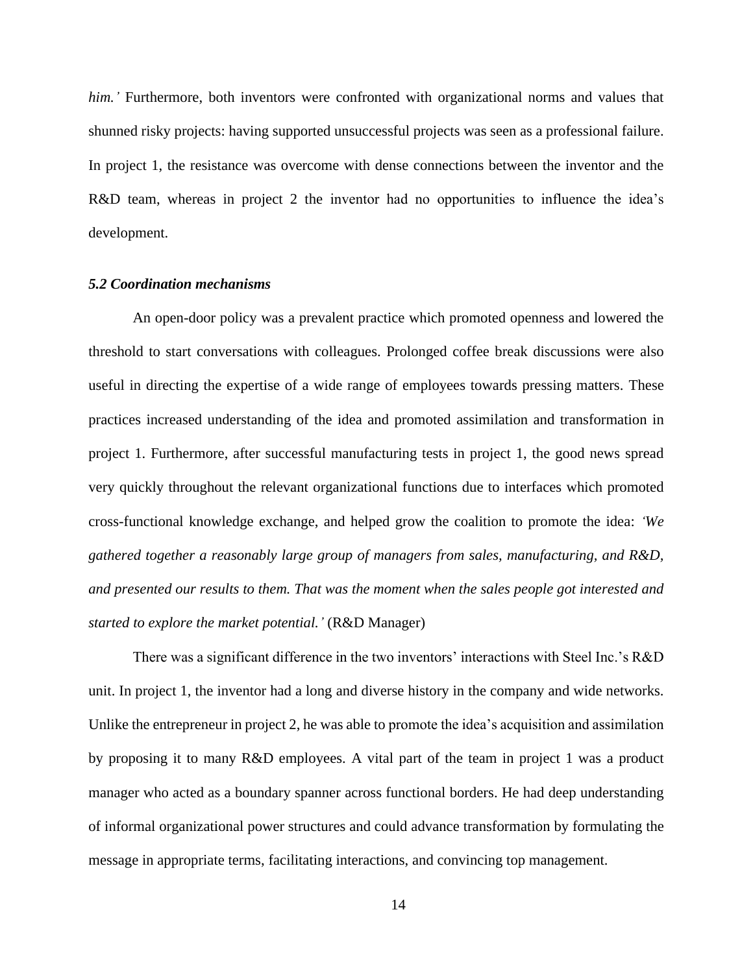*him.'* Furthermore, both inventors were confronted with organizational norms and values that shunned risky projects: having supported unsuccessful projects was seen as a professional failure. In project 1, the resistance was overcome with dense connections between the inventor and the R&D team, whereas in project 2 the inventor had no opportunities to influence the idea's development.

## *5.2 Coordination mechanisms*

An open-door policy was a prevalent practice which promoted openness and lowered the threshold to start conversations with colleagues. Prolonged coffee break discussions were also useful in directing the expertise of a wide range of employees towards pressing matters. These practices increased understanding of the idea and promoted assimilation and transformation in project 1. Furthermore, after successful manufacturing tests in project 1, the good news spread very quickly throughout the relevant organizational functions due to interfaces which promoted cross-functional knowledge exchange, and helped grow the coalition to promote the idea: *'We gathered together a reasonably large group of managers from sales, manufacturing, and R&D, and presented our results to them. That was the moment when the sales people got interested and started to explore the market potential.'* (R&D Manager)

There was a significant difference in the two inventors' interactions with Steel Inc.'s R&D unit. In project 1, the inventor had a long and diverse history in the company and wide networks. Unlike the entrepreneur in project 2, he was able to promote the idea's acquisition and assimilation by proposing it to many R&D employees. A vital part of the team in project 1 was a product manager who acted as a boundary spanner across functional borders. He had deep understanding of informal organizational power structures and could advance transformation by formulating the message in appropriate terms, facilitating interactions, and convincing top management.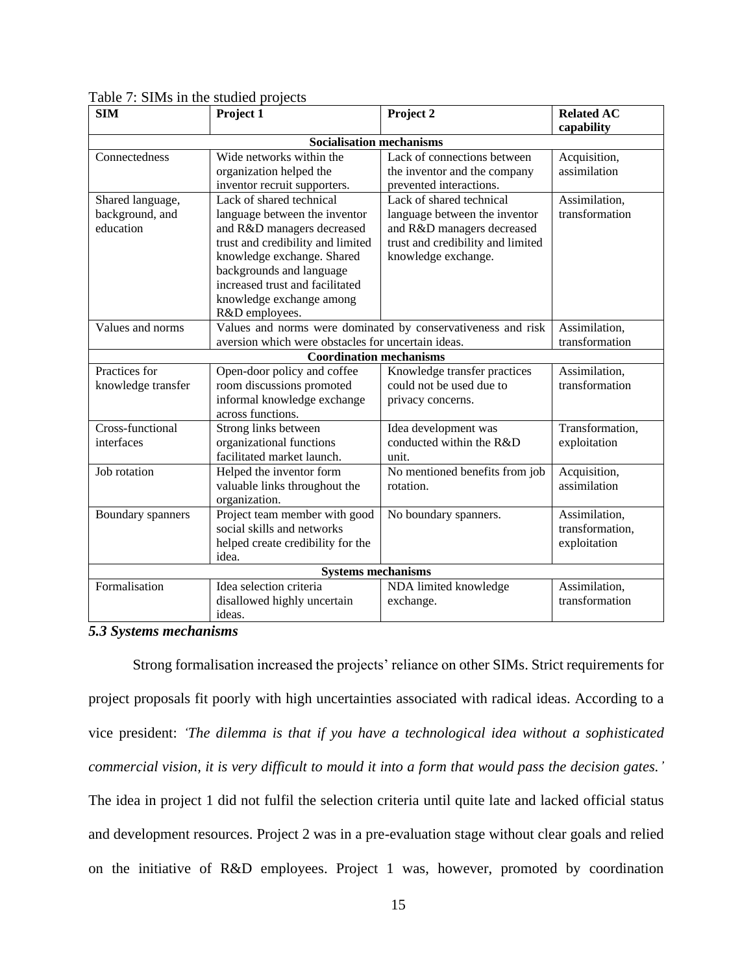| <b>SIM</b>                      | Project 1                                          | Project <sub>2</sub>                                         | Related $A\overline{C}$ |  |  |  |
|---------------------------------|----------------------------------------------------|--------------------------------------------------------------|-------------------------|--|--|--|
|                                 |                                                    |                                                              | capability              |  |  |  |
| <b>Socialisation mechanisms</b> |                                                    |                                                              |                         |  |  |  |
| Connectedness                   | Wide networks within the                           | Lack of connections between                                  | Acquisition,            |  |  |  |
|                                 | organization helped the                            | the inventor and the company                                 | assimilation            |  |  |  |
|                                 | inventor recruit supporters.                       | prevented interactions.                                      |                         |  |  |  |
| Shared language,                | Lack of shared technical                           | Lack of shared technical                                     | Assimilation,           |  |  |  |
| background, and                 | language between the inventor                      | language between the inventor                                | transformation          |  |  |  |
| education                       | and R&D managers decreased                         | and R&D managers decreased                                   |                         |  |  |  |
|                                 | trust and credibility and limited                  | trust and credibility and limited                            |                         |  |  |  |
|                                 | knowledge exchange. Shared                         | knowledge exchange.                                          |                         |  |  |  |
|                                 | backgrounds and language                           |                                                              |                         |  |  |  |
|                                 | increased trust and facilitated                    |                                                              |                         |  |  |  |
|                                 | knowledge exchange among                           |                                                              |                         |  |  |  |
|                                 | R&D employees.                                     |                                                              |                         |  |  |  |
| Values and norms                |                                                    | Values and norms were dominated by conservativeness and risk | Assimilation,           |  |  |  |
|                                 | aversion which were obstacles for uncertain ideas. |                                                              | transformation          |  |  |  |
|                                 | <b>Coordination mechanisms</b>                     |                                                              |                         |  |  |  |
| Practices for                   | Open-door policy and coffee                        | Knowledge transfer practices                                 | Assimilation,           |  |  |  |
| knowledge transfer              | room discussions promoted                          | could not be used due to                                     | transformation          |  |  |  |
| informal knowledge exchange     |                                                    | privacy concerns.                                            |                         |  |  |  |
|                                 | across functions.                                  |                                                              |                         |  |  |  |
| Cross-functional                | Strong links between                               | Idea development was                                         | Transformation,         |  |  |  |
| interfaces                      | organizational functions                           | conducted within the R&D                                     | exploitation            |  |  |  |
|                                 | facilitated market launch.                         | unit.                                                        |                         |  |  |  |
| Job rotation                    | Helped the inventor form                           | No mentioned benefits from job                               | Acquisition,            |  |  |  |
|                                 | valuable links throughout the                      | rotation.                                                    | assimilation            |  |  |  |
|                                 | organization.                                      |                                                              |                         |  |  |  |
| Boundary spanners               | Project team member with good                      | No boundary spanners.                                        | Assimilation,           |  |  |  |
|                                 | social skills and networks                         |                                                              | transformation,         |  |  |  |
|                                 | helped create credibility for the                  |                                                              | exploitation            |  |  |  |
|                                 | idea.                                              |                                                              |                         |  |  |  |
| <b>Systems mechanisms</b>       |                                                    |                                                              |                         |  |  |  |
| Formalisation                   | Idea selection criteria                            | NDA limited knowledge                                        | Assimilation,           |  |  |  |
|                                 | disallowed highly uncertain                        | exchange.                                                    | transformation          |  |  |  |
|                                 | ideas.                                             |                                                              |                         |  |  |  |

## Table 7: SIMs in the studied projects

## *5.3 Systems mechanisms*

Strong formalisation increased the projects' reliance on other SIMs. Strict requirements for project proposals fit poorly with high uncertainties associated with radical ideas. According to a vice president: *'The dilemma is that if you have a technological idea without a sophisticated commercial vision, it is very difficult to mould it into a form that would pass the decision gates.'* The idea in project 1 did not fulfil the selection criteria until quite late and lacked official status and development resources. Project 2 was in a pre-evaluation stage without clear goals and relied on the initiative of R&D employees. Project 1 was, however, promoted by coordination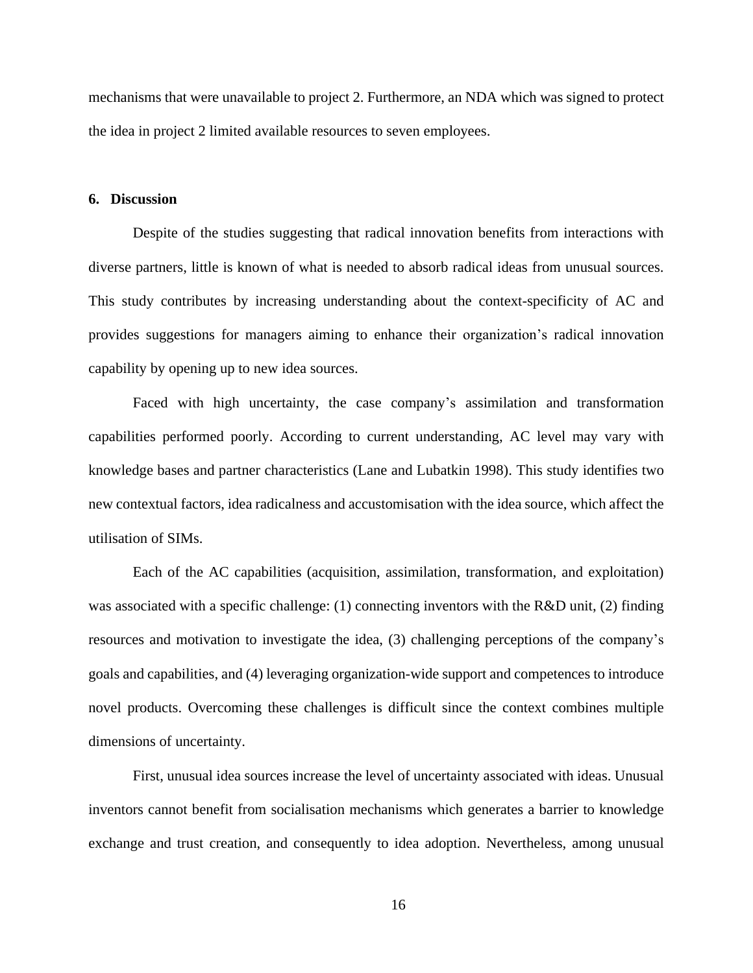mechanisms that were unavailable to project 2. Furthermore, an NDA which was signed to protect the idea in project 2 limited available resources to seven employees.

### **6. Discussion**

Despite of the studies suggesting that radical innovation benefits from interactions with diverse partners, little is known of what is needed to absorb radical ideas from unusual sources. This study contributes by increasing understanding about the context-specificity of AC and provides suggestions for managers aiming to enhance their organization's radical innovation capability by opening up to new idea sources.

Faced with high uncertainty, the case company's assimilation and transformation capabilities performed poorly. According to current understanding, AC level may vary with knowledge bases and partner characteristics (Lane and Lubatkin 1998). This study identifies two new contextual factors, idea radicalness and accustomisation with the idea source, which affect the utilisation of SIMs.

Each of the AC capabilities (acquisition, assimilation, transformation, and exploitation) was associated with a specific challenge: (1) connecting inventors with the R&D unit, (2) finding resources and motivation to investigate the idea, (3) challenging perceptions of the company's goals and capabilities, and (4) leveraging organization-wide support and competences to introduce novel products. Overcoming these challenges is difficult since the context combines multiple dimensions of uncertainty.

First, unusual idea sources increase the level of uncertainty associated with ideas. Unusual inventors cannot benefit from socialisation mechanisms which generates a barrier to knowledge exchange and trust creation, and consequently to idea adoption. Nevertheless, among unusual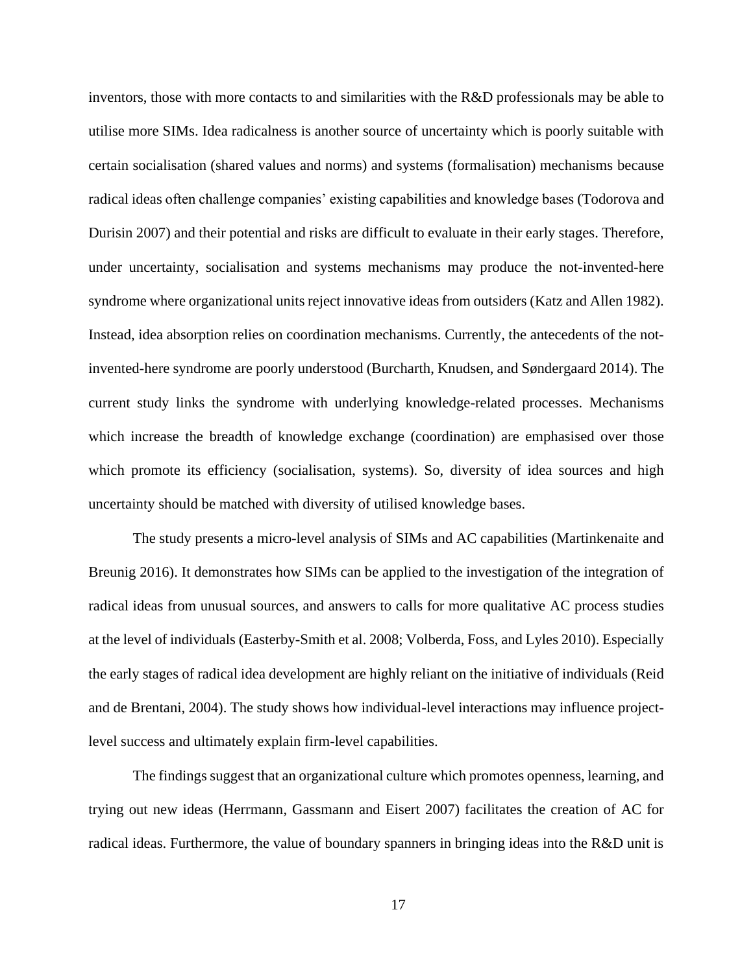inventors, those with more contacts to and similarities with the R&D professionals may be able to utilise more SIMs. Idea radicalness is another source of uncertainty which is poorly suitable with certain socialisation (shared values and norms) and systems (formalisation) mechanisms because radical ideas often challenge companies' existing capabilities and knowledge bases (Todorova and Durisin 2007) and their potential and risks are difficult to evaluate in their early stages. Therefore, under uncertainty, socialisation and systems mechanisms may produce the not-invented-here syndrome where organizational units reject innovative ideas from outsiders (Katz and Allen 1982). Instead, idea absorption relies on coordination mechanisms. Currently, the antecedents of the notinvented-here syndrome are poorly understood (Burcharth, Knudsen, and Søndergaard 2014). The current study links the syndrome with underlying knowledge-related processes. Mechanisms which increase the breadth of knowledge exchange (coordination) are emphasised over those which promote its efficiency (socialisation, systems). So, diversity of idea sources and high uncertainty should be matched with diversity of utilised knowledge bases.

The study presents a micro-level analysis of SIMs and AC capabilities (Martinkenaite and Breunig 2016). It demonstrates how SIMs can be applied to the investigation of the integration of radical ideas from unusual sources, and answers to calls for more qualitative AC process studies at the level of individuals (Easterby-Smith et al. 2008; Volberda, Foss, and Lyles 2010). Especially the early stages of radical idea development are highly reliant on the initiative of individuals (Reid and de Brentani, 2004). The study shows how individual-level interactions may influence projectlevel success and ultimately explain firm-level capabilities.

The findings suggest that an organizational culture which promotes openness, learning, and trying out new ideas (Herrmann, Gassmann and Eisert 2007) facilitates the creation of AC for radical ideas. Furthermore, the value of boundary spanners in bringing ideas into the R&D unit is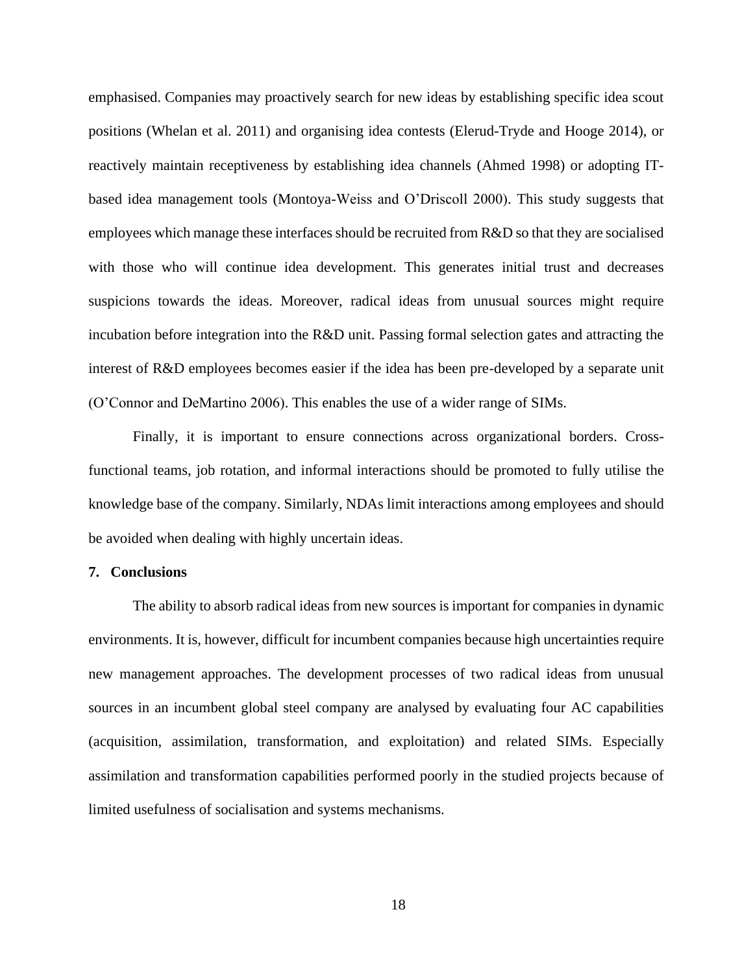emphasised. Companies may proactively search for new ideas by establishing specific idea scout positions (Whelan et al. 2011) and organising idea contests (Elerud-Tryde and Hooge 2014), or reactively maintain receptiveness by establishing idea channels (Ahmed 1998) or adopting ITbased idea management tools (Montoya-Weiss and O'Driscoll 2000). This study suggests that employees which manage these interfaces should be recruited from R&D so that they are socialised with those who will continue idea development. This generates initial trust and decreases suspicions towards the ideas. Moreover, radical ideas from unusual sources might require incubation before integration into the R&D unit. Passing formal selection gates and attracting the interest of R&D employees becomes easier if the idea has been pre-developed by a separate unit (O'Connor and DeMartino 2006). This enables the use of a wider range of SIMs.

Finally, it is important to ensure connections across organizational borders. Crossfunctional teams, job rotation, and informal interactions should be promoted to fully utilise the knowledge base of the company. Similarly, NDAs limit interactions among employees and should be avoided when dealing with highly uncertain ideas.

## **7. Conclusions**

The ability to absorb radical ideas from new sources is important for companies in dynamic environments. It is, however, difficult for incumbent companies because high uncertainties require new management approaches. The development processes of two radical ideas from unusual sources in an incumbent global steel company are analysed by evaluating four AC capabilities (acquisition, assimilation, transformation, and exploitation) and related SIMs. Especially assimilation and transformation capabilities performed poorly in the studied projects because of limited usefulness of socialisation and systems mechanisms.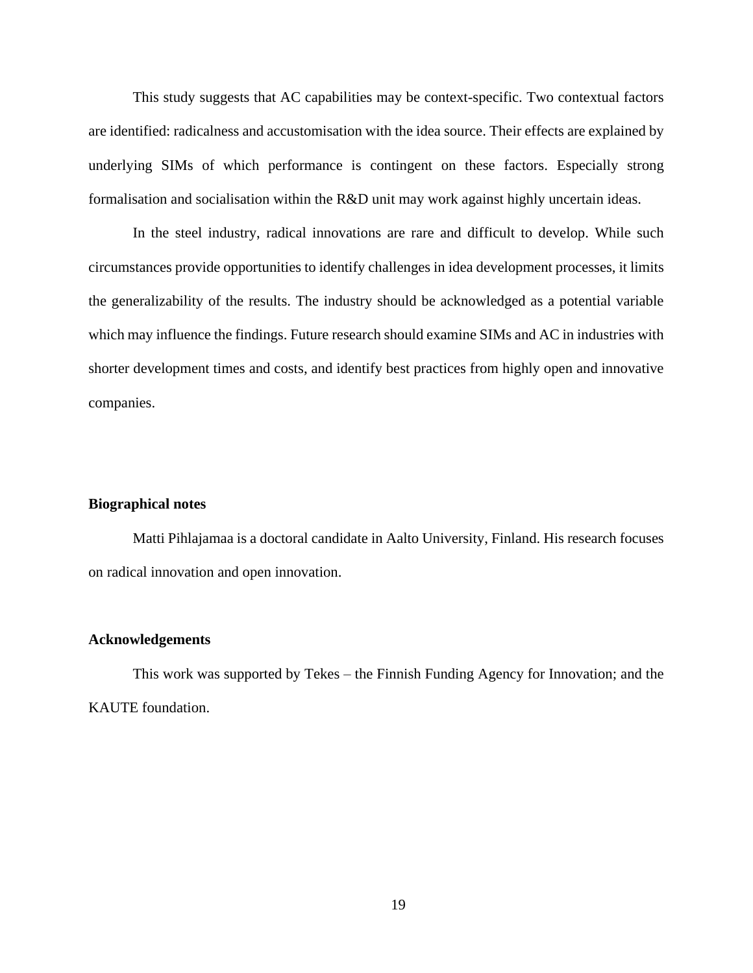This study suggests that AC capabilities may be context-specific. Two contextual factors are identified: radicalness and accustomisation with the idea source. Their effects are explained by underlying SIMs of which performance is contingent on these factors. Especially strong formalisation and socialisation within the R&D unit may work against highly uncertain ideas.

In the steel industry, radical innovations are rare and difficult to develop. While such circumstances provide opportunities to identify challenges in idea development processes, it limits the generalizability of the results. The industry should be acknowledged as a potential variable which may influence the findings. Future research should examine SIMs and AC in industries with shorter development times and costs, and identify best practices from highly open and innovative companies.

## **Biographical notes**

Matti Pihlajamaa is a doctoral candidate in Aalto University, Finland. His research focuses on radical innovation and open innovation.

### **Acknowledgements**

This work was supported by Tekes – the Finnish Funding Agency for Innovation; and the KAUTE foundation.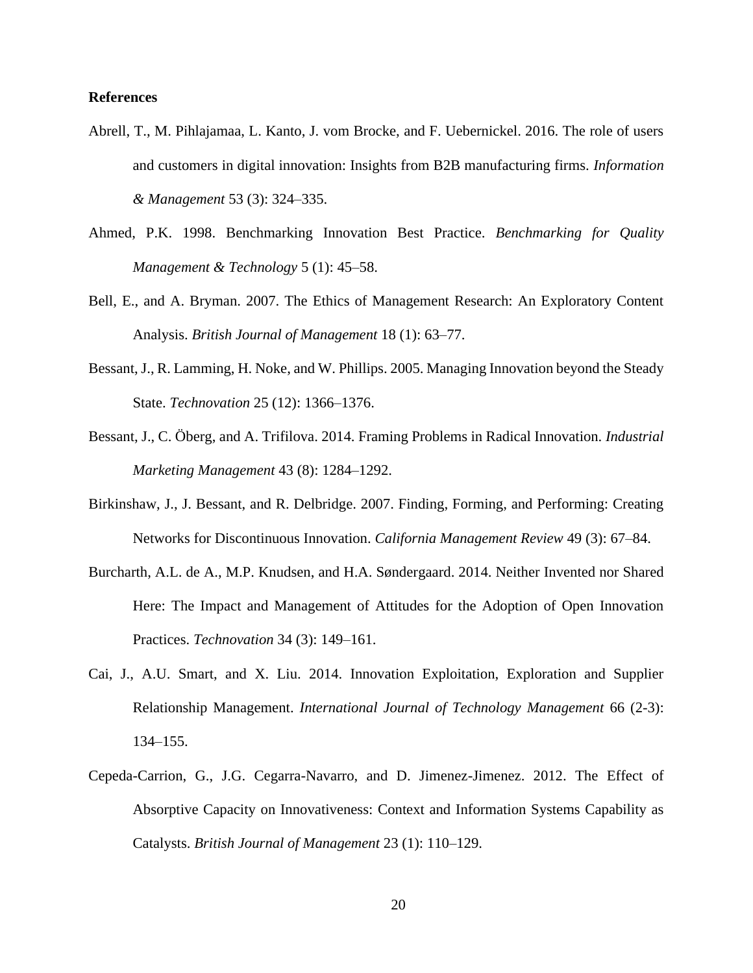## **References**

- Abrell, T., M. Pihlajamaa, L. Kanto, J. vom Brocke, and F. Uebernickel. 2016. The role of users and customers in digital innovation: Insights from B2B manufacturing firms. *Information & Management* 53 (3): 324–335.
- Ahmed, P.K. 1998. Benchmarking Innovation Best Practice. *Benchmarking for Quality Management & Technology* 5 (1): 45–58.
- Bell, E., and A. Bryman. 2007. The Ethics of Management Research: An Exploratory Content Analysis. *British Journal of Management* 18 (1): 63–77.
- Bessant, J., R. Lamming, H. Noke, and W. Phillips. 2005. Managing Innovation beyond the Steady State. *Technovation* 25 (12): 1366–1376.
- Bessant, J., C. Öberg, and A. Trifilova. 2014. Framing Problems in Radical Innovation. *Industrial Marketing Management* 43 (8): 1284–1292.
- Birkinshaw, J., J. Bessant, and R. Delbridge. 2007. Finding, Forming, and Performing: Creating Networks for Discontinuous Innovation. *California Management Review* 49 (3): 67–84.
- Burcharth, A.L. de A., M.P. Knudsen, and H.A. Søndergaard. 2014. Neither Invented nor Shared Here: The Impact and Management of Attitudes for the Adoption of Open Innovation Practices. *Technovation* 34 (3): 149–161.
- Cai, J., A.U. Smart, and X. Liu. 2014. Innovation Exploitation, Exploration and Supplier Relationship Management. *International Journal of Technology Management* 66 (2-3): 134–155.
- Cepeda-Carrion, G., J.G. Cegarra-Navarro, and D. Jimenez-Jimenez. 2012. The Effect of Absorptive Capacity on Innovativeness: Context and Information Systems Capability as Catalysts. *British Journal of Management* 23 (1): 110–129.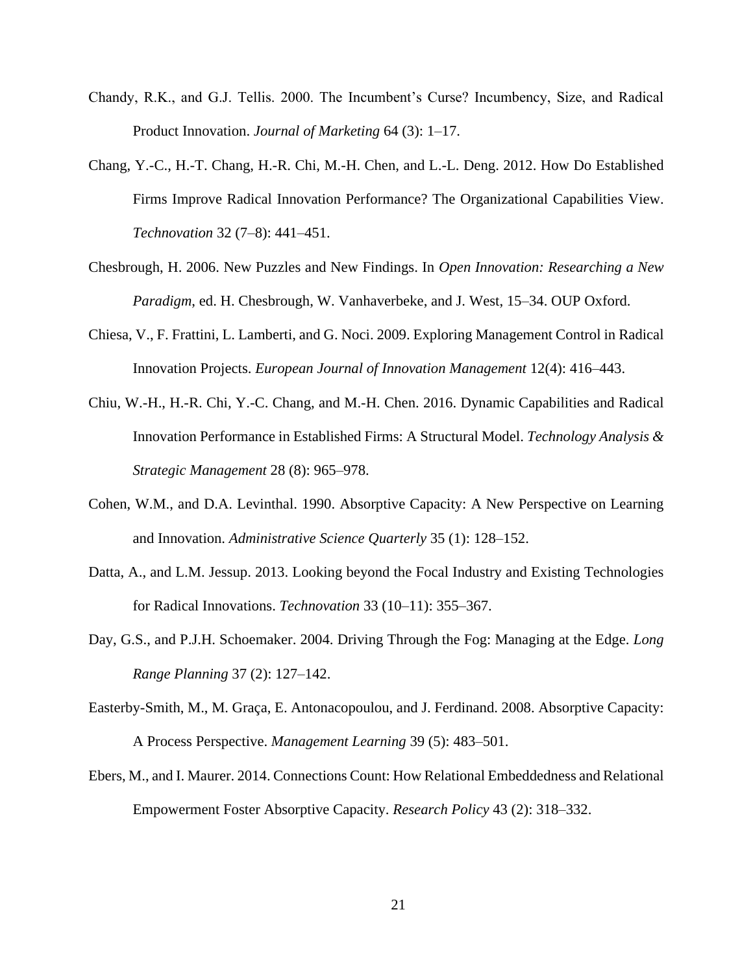- Chandy, R.K., and G.J. Tellis. 2000. The Incumbent's Curse? Incumbency, Size, and Radical Product Innovation. *Journal of Marketing* 64 (3): 1–17.
- Chang, Y.-C., H.-T. Chang, H.-R. Chi, M.-H. Chen, and L.-L. Deng. 2012. How Do Established Firms Improve Radical Innovation Performance? The Organizational Capabilities View. *Technovation* 32 (7–8): 441–451.
- Chesbrough, H. 2006. New Puzzles and New Findings. In *Open Innovation: Researching a New Paradigm*, ed. H. Chesbrough, W. Vanhaverbeke, and J. West, 15–34. OUP Oxford.
- Chiesa, V., F. Frattini, L. Lamberti, and G. Noci. 2009. Exploring Management Control in Radical Innovation Projects. *European Journal of Innovation Management* 12(4): 416–443.
- Chiu, W.-H., H.-R. Chi, Y.-C. Chang, and M.-H. Chen. 2016. Dynamic Capabilities and Radical Innovation Performance in Established Firms: A Structural Model. *Technology Analysis & Strategic Management* 28 (8): 965–978.
- Cohen, W.M., and D.A. Levinthal. 1990. Absorptive Capacity: A New Perspective on Learning and Innovation. *Administrative Science Quarterly* 35 (1): 128–152.
- Datta, A., and L.M. Jessup. 2013. Looking beyond the Focal Industry and Existing Technologies for Radical Innovations. *Technovation* 33 (10–11): 355–367.
- Day, G.S., and P.J.H. Schoemaker. 2004. Driving Through the Fog: Managing at the Edge. *Long Range Planning* 37 (2): 127–142.
- Easterby-Smith, M., M. Graça, E. Antonacopoulou, and J. Ferdinand. 2008. Absorptive Capacity: A Process Perspective. *Management Learning* 39 (5): 483–501.
- Ebers, M., and I. Maurer. 2014. Connections Count: How Relational Embeddedness and Relational Empowerment Foster Absorptive Capacity. *Research Policy* 43 (2): 318–332.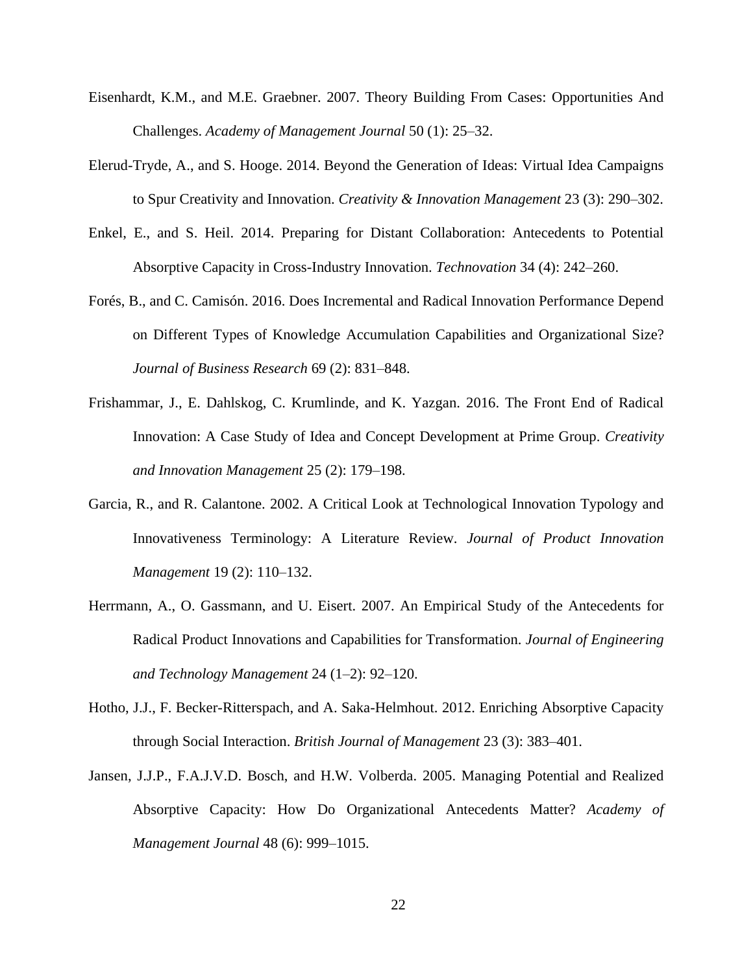- Eisenhardt, K.M., and M.E. Graebner. 2007. Theory Building From Cases: Opportunities And Challenges. *Academy of Management Journal* 50 (1): 25–32.
- Elerud-Tryde, A., and S. Hooge. 2014. Beyond the Generation of Ideas: Virtual Idea Campaigns to Spur Creativity and Innovation. *Creativity & Innovation Management* 23 (3): 290–302.
- Enkel, E., and S. Heil. 2014. Preparing for Distant Collaboration: Antecedents to Potential Absorptive Capacity in Cross-Industry Innovation. *Technovation* 34 (4): 242–260.
- Forés, B., and C. Camisón. 2016. Does Incremental and Radical Innovation Performance Depend on Different Types of Knowledge Accumulation Capabilities and Organizational Size? *Journal of Business Research* 69 (2): 831–848.
- Frishammar, J., E. Dahlskog, C. Krumlinde, and K. Yazgan. 2016. The Front End of Radical Innovation: A Case Study of Idea and Concept Development at Prime Group. *Creativity and Innovation Management* 25 (2): 179–198.
- Garcia, R., and R. Calantone. 2002. A Critical Look at Technological Innovation Typology and Innovativeness Terminology: A Literature Review. *Journal of Product Innovation Management* 19 (2): 110–132.
- Herrmann, A., O. Gassmann, and U. Eisert. 2007. An Empirical Study of the Antecedents for Radical Product Innovations and Capabilities for Transformation. *Journal of Engineering and Technology Management* 24 (1–2): 92–120.
- Hotho, J.J., F. Becker-Ritterspach, and A. Saka-Helmhout. 2012. Enriching Absorptive Capacity through Social Interaction. *British Journal of Management* 23 (3): 383–401.
- Jansen, J.J.P., F.A.J.V.D. Bosch, and H.W. Volberda. 2005. Managing Potential and Realized Absorptive Capacity: How Do Organizational Antecedents Matter? *Academy of Management Journal* 48 (6): 999–1015.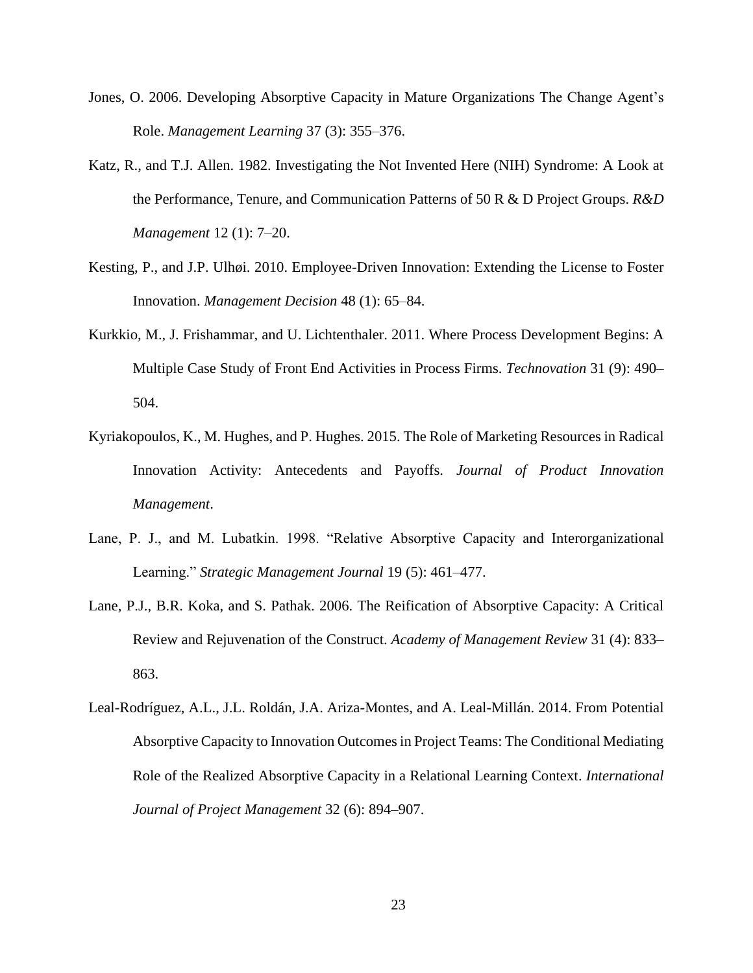- Jones, O. 2006. Developing Absorptive Capacity in Mature Organizations The Change Agent's Role. *Management Learning* 37 (3): 355–376.
- Katz, R., and T.J. Allen. 1982. Investigating the Not Invented Here (NIH) Syndrome: A Look at the Performance, Tenure, and Communication Patterns of 50 R & D Project Groups. *R&D Management* 12 (1): 7–20.
- Kesting, P., and J.P. Ulhøi. 2010. Employee-Driven Innovation: Extending the License to Foster Innovation. *Management Decision* 48 (1): 65–84.
- Kurkkio, M., J. Frishammar, and U. Lichtenthaler. 2011. Where Process Development Begins: A Multiple Case Study of Front End Activities in Process Firms. *Technovation* 31 (9): 490– 504.
- Kyriakopoulos, K., M. Hughes, and P. Hughes. 2015. The Role of Marketing Resources in Radical Innovation Activity: Antecedents and Payoffs. *Journal of Product Innovation Management*.
- Lane, P. J., and M. Lubatkin. 1998. "Relative Absorptive Capacity and Interorganizational Learning." *Strategic Management Journal* 19 (5): 461–477.
- Lane, P.J., B.R. Koka, and S. Pathak. 2006. The Reification of Absorptive Capacity: A Critical Review and Rejuvenation of the Construct. *Academy of Management Review* 31 (4): 833– 863.
- Leal-Rodríguez, A.L., J.L. Roldán, J.A. Ariza-Montes, and A. Leal-Millán. 2014. From Potential Absorptive Capacity to Innovation Outcomes in Project Teams: The Conditional Mediating Role of the Realized Absorptive Capacity in a Relational Learning Context. *International Journal of Project Management* 32 (6): 894–907.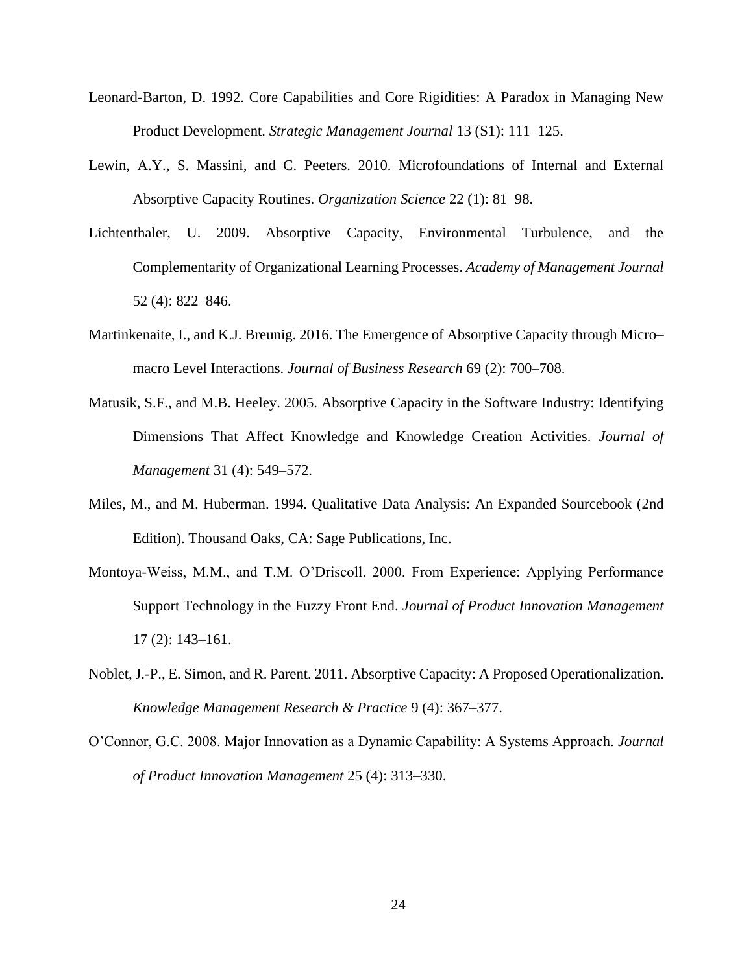- Leonard-Barton, D. 1992. Core Capabilities and Core Rigidities: A Paradox in Managing New Product Development. *Strategic Management Journal* 13 (S1): 111–125.
- Lewin, A.Y., S. Massini, and C. Peeters. 2010. Microfoundations of Internal and External Absorptive Capacity Routines. *Organization Science* 22 (1): 81–98.
- Lichtenthaler, U. 2009. Absorptive Capacity, Environmental Turbulence, and the Complementarity of Organizational Learning Processes. *Academy of Management Journal* 52 (4): 822–846.
- Martinkenaite, I., and K.J. Breunig. 2016. The Emergence of Absorptive Capacity through Micro– macro Level Interactions. *Journal of Business Research* 69 (2): 700–708.
- Matusik, S.F., and M.B. Heeley. 2005. Absorptive Capacity in the Software Industry: Identifying Dimensions That Affect Knowledge and Knowledge Creation Activities. *Journal of Management* 31 (4): 549–572.
- Miles, M., and M. Huberman. 1994. Qualitative Data Analysis: An Expanded Sourcebook (2nd Edition). Thousand Oaks, CA: Sage Publications, Inc.
- Montoya-Weiss, M.M., and T.M. O'Driscoll. 2000. From Experience: Applying Performance Support Technology in the Fuzzy Front End. *Journal of Product Innovation Management* 17 (2): 143–161.
- Noblet, J.-P., E. Simon, and R. Parent. 2011. Absorptive Capacity: A Proposed Operationalization. *Knowledge Management Research & Practice* 9 (4): 367–377.
- O'Connor, G.C. 2008. Major Innovation as a Dynamic Capability: A Systems Approach. *Journal of Product Innovation Management* 25 (4): 313–330.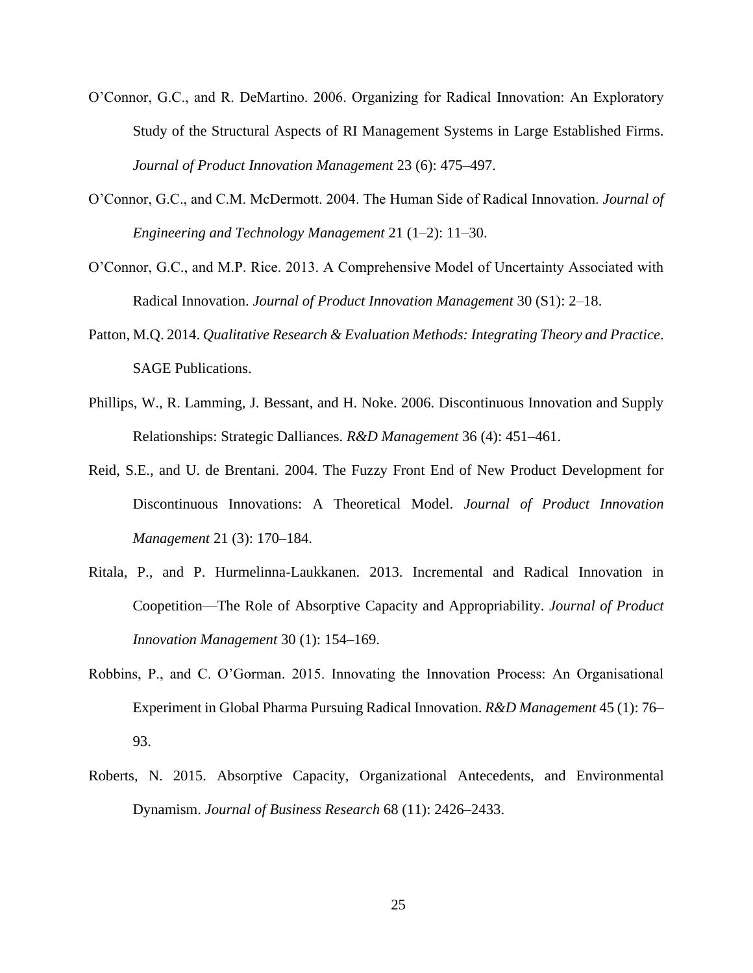- O'Connor, G.C., and R. DeMartino. 2006. Organizing for Radical Innovation: An Exploratory Study of the Structural Aspects of RI Management Systems in Large Established Firms. *Journal of Product Innovation Management* 23 (6): 475–497.
- O'Connor, G.C., and C.M. McDermott. 2004. The Human Side of Radical Innovation. *Journal of Engineering and Technology Management* 21 (1–2): 11–30.
- O'Connor, G.C., and M.P. Rice. 2013. A Comprehensive Model of Uncertainty Associated with Radical Innovation. *Journal of Product Innovation Management* 30 (S1): 2–18.
- Patton, M.Q. 2014. *Qualitative Research & Evaluation Methods: Integrating Theory and Practice*. SAGE Publications.
- Phillips, W., R. Lamming, J. Bessant, and H. Noke. 2006. Discontinuous Innovation and Supply Relationships: Strategic Dalliances. *R&D Management* 36 (4): 451–461.
- Reid, S.E., and U. de Brentani. 2004. The Fuzzy Front End of New Product Development for Discontinuous Innovations: A Theoretical Model. *Journal of Product Innovation Management* 21 (3): 170–184.
- Ritala, P., and P. Hurmelinna-Laukkanen. 2013. Incremental and Radical Innovation in Coopetition—The Role of Absorptive Capacity and Appropriability. *Journal of Product Innovation Management* 30 (1): 154–169.
- Robbins, P., and C. O'Gorman. 2015. Innovating the Innovation Process: An Organisational Experiment in Global Pharma Pursuing Radical Innovation. *R&D Management* 45 (1): 76– 93.
- Roberts, N. 2015. Absorptive Capacity, Organizational Antecedents, and Environmental Dynamism. *Journal of Business Research* 68 (11): 2426–2433.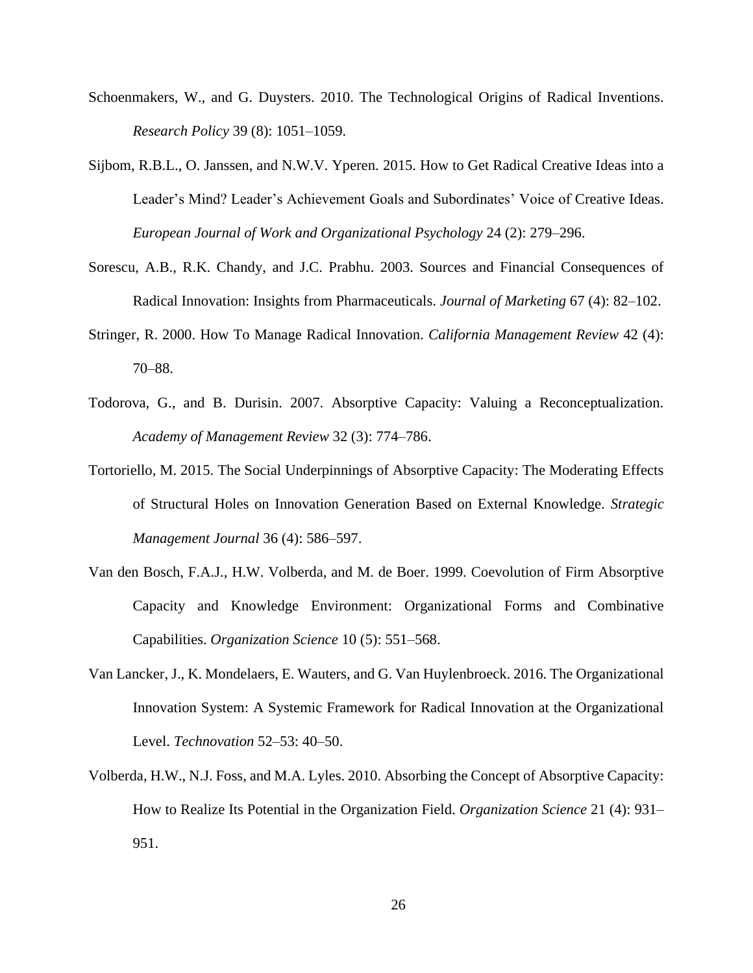- Schoenmakers, W., and G. Duysters. 2010. The Technological Origins of Radical Inventions. *Research Policy* 39 (8): 1051–1059.
- Sijbom, R.B.L., O. Janssen, and N.W.V. Yperen. 2015. How to Get Radical Creative Ideas into a Leader's Mind? Leader's Achievement Goals and Subordinates' Voice of Creative Ideas. *European Journal of Work and Organizational Psychology* 24 (2): 279–296.
- Sorescu, A.B., R.K. Chandy, and J.C. Prabhu. 2003. Sources and Financial Consequences of Radical Innovation: Insights from Pharmaceuticals. *Journal of Marketing* 67 (4): 82–102.
- Stringer, R. 2000. How To Manage Radical Innovation. *California Management Review* 42 (4): 70–88.
- Todorova, G., and B. Durisin. 2007. Absorptive Capacity: Valuing a Reconceptualization. *Academy of Management Review* 32 (3): 774–786.
- Tortoriello, M. 2015. The Social Underpinnings of Absorptive Capacity: The Moderating Effects of Structural Holes on Innovation Generation Based on External Knowledge. *Strategic Management Journal* 36 (4): 586–597.
- Van den Bosch, F.A.J., H.W. Volberda, and M. de Boer. 1999. Coevolution of Firm Absorptive Capacity and Knowledge Environment: Organizational Forms and Combinative Capabilities. *Organization Science* 10 (5): 551–568.
- Van Lancker, J., K. Mondelaers, E. Wauters, and G. Van Huylenbroeck. 2016. The Organizational Innovation System: A Systemic Framework for Radical Innovation at the Organizational Level. *Technovation* 52–53: 40–50.
- Volberda, H.W., N.J. Foss, and M.A. Lyles. 2010. Absorbing the Concept of Absorptive Capacity: How to Realize Its Potential in the Organization Field. *Organization Science* 21 (4): 931– 951.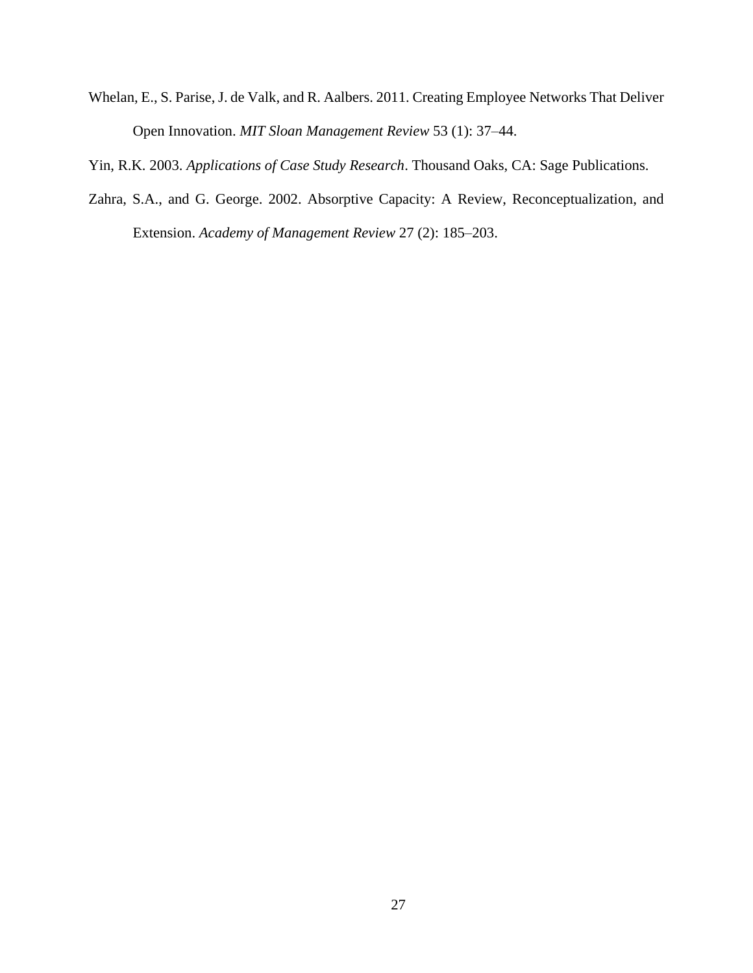Whelan, E., S. Parise, J. de Valk, and R. Aalbers. 2011. Creating Employee Networks That Deliver Open Innovation. *MIT Sloan Management Review* 53 (1): 37–44.

Yin, R.K. 2003. *Applications of Case Study Research*. Thousand Oaks, CA: Sage Publications.

Zahra, S.A., and G. George. 2002. Absorptive Capacity: A Review, Reconceptualization, and Extension. *Academy of Management Review* 27 (2): 185–203.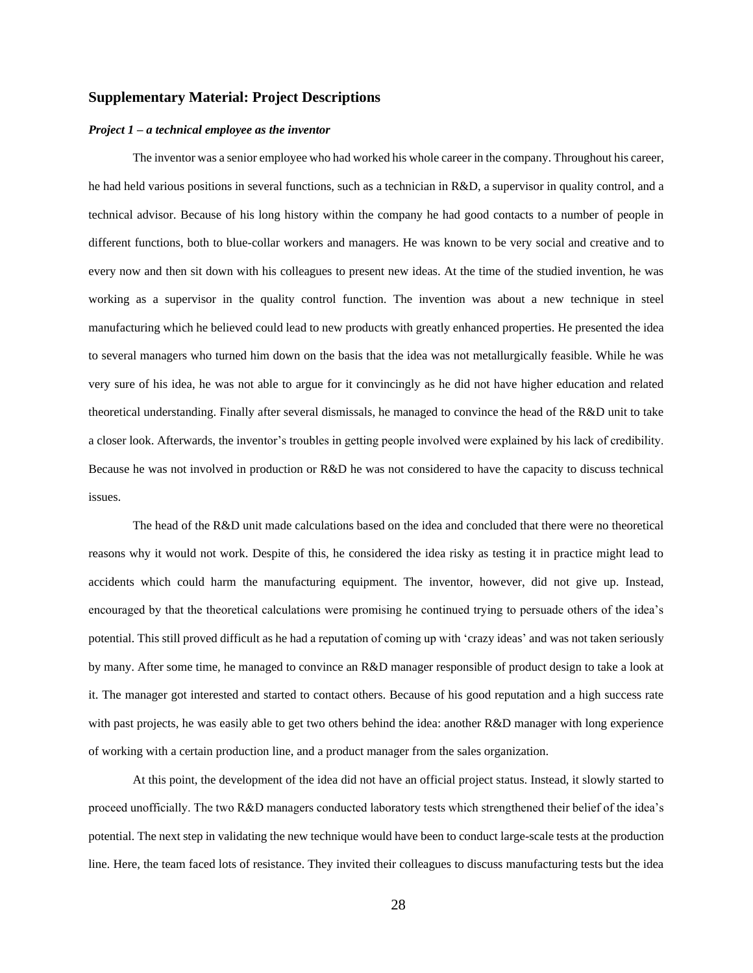#### **Supplementary Material: Project Descriptions**

#### *Project 1 – a technical employee as the inventor*

The inventor was a senior employee who had worked his whole career in the company. Throughout his career, he had held various positions in several functions, such as a technician in R&D, a supervisor in quality control, and a technical advisor. Because of his long history within the company he had good contacts to a number of people in different functions, both to blue-collar workers and managers. He was known to be very social and creative and to every now and then sit down with his colleagues to present new ideas. At the time of the studied invention, he was working as a supervisor in the quality control function. The invention was about a new technique in steel manufacturing which he believed could lead to new products with greatly enhanced properties. He presented the idea to several managers who turned him down on the basis that the idea was not metallurgically feasible. While he was very sure of his idea, he was not able to argue for it convincingly as he did not have higher education and related theoretical understanding. Finally after several dismissals, he managed to convince the head of the R&D unit to take a closer look. Afterwards, the inventor's troubles in getting people involved were explained by his lack of credibility. Because he was not involved in production or R&D he was not considered to have the capacity to discuss technical issues.

The head of the R&D unit made calculations based on the idea and concluded that there were no theoretical reasons why it would not work. Despite of this, he considered the idea risky as testing it in practice might lead to accidents which could harm the manufacturing equipment. The inventor, however, did not give up. Instead, encouraged by that the theoretical calculations were promising he continued trying to persuade others of the idea's potential. This still proved difficult as he had a reputation of coming up with 'crazy ideas' and was not taken seriously by many. After some time, he managed to convince an R&D manager responsible of product design to take a look at it. The manager got interested and started to contact others. Because of his good reputation and a high success rate with past projects, he was easily able to get two others behind the idea: another R&D manager with long experience of working with a certain production line, and a product manager from the sales organization.

At this point, the development of the idea did not have an official project status. Instead, it slowly started to proceed unofficially. The two R&D managers conducted laboratory tests which strengthened their belief of the idea's potential. The next step in validating the new technique would have been to conduct large-scale tests at the production line. Here, the team faced lots of resistance. They invited their colleagues to discuss manufacturing tests but the idea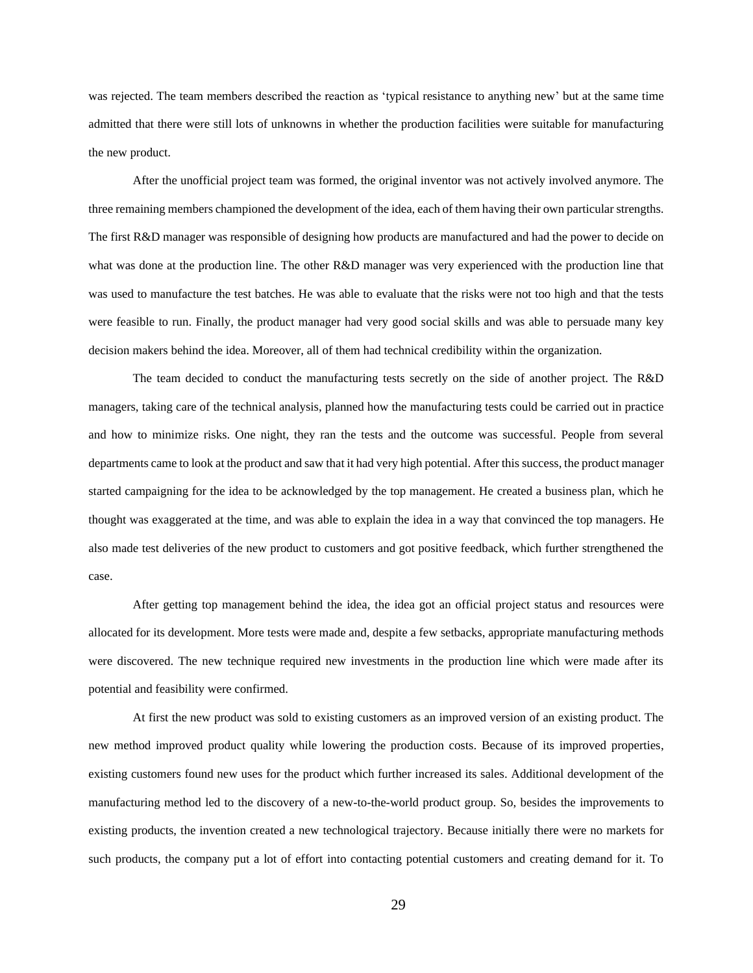was rejected. The team members described the reaction as 'typical resistance to anything new' but at the same time admitted that there were still lots of unknowns in whether the production facilities were suitable for manufacturing the new product.

After the unofficial project team was formed, the original inventor was not actively involved anymore. The three remaining members championed the development of the idea, each of them having their own particular strengths. The first R&D manager was responsible of designing how products are manufactured and had the power to decide on what was done at the production line. The other R&D manager was very experienced with the production line that was used to manufacture the test batches. He was able to evaluate that the risks were not too high and that the tests were feasible to run. Finally, the product manager had very good social skills and was able to persuade many key decision makers behind the idea. Moreover, all of them had technical credibility within the organization.

The team decided to conduct the manufacturing tests secretly on the side of another project. The R&D managers, taking care of the technical analysis, planned how the manufacturing tests could be carried out in practice and how to minimize risks. One night, they ran the tests and the outcome was successful. People from several departments came to look at the product and saw that it had very high potential. After this success, the product manager started campaigning for the idea to be acknowledged by the top management. He created a business plan, which he thought was exaggerated at the time, and was able to explain the idea in a way that convinced the top managers. He also made test deliveries of the new product to customers and got positive feedback, which further strengthened the case.

After getting top management behind the idea, the idea got an official project status and resources were allocated for its development. More tests were made and, despite a few setbacks, appropriate manufacturing methods were discovered. The new technique required new investments in the production line which were made after its potential and feasibility were confirmed.

At first the new product was sold to existing customers as an improved version of an existing product. The new method improved product quality while lowering the production costs. Because of its improved properties, existing customers found new uses for the product which further increased its sales. Additional development of the manufacturing method led to the discovery of a new-to-the-world product group. So, besides the improvements to existing products, the invention created a new technological trajectory. Because initially there were no markets for such products, the company put a lot of effort into contacting potential customers and creating demand for it. To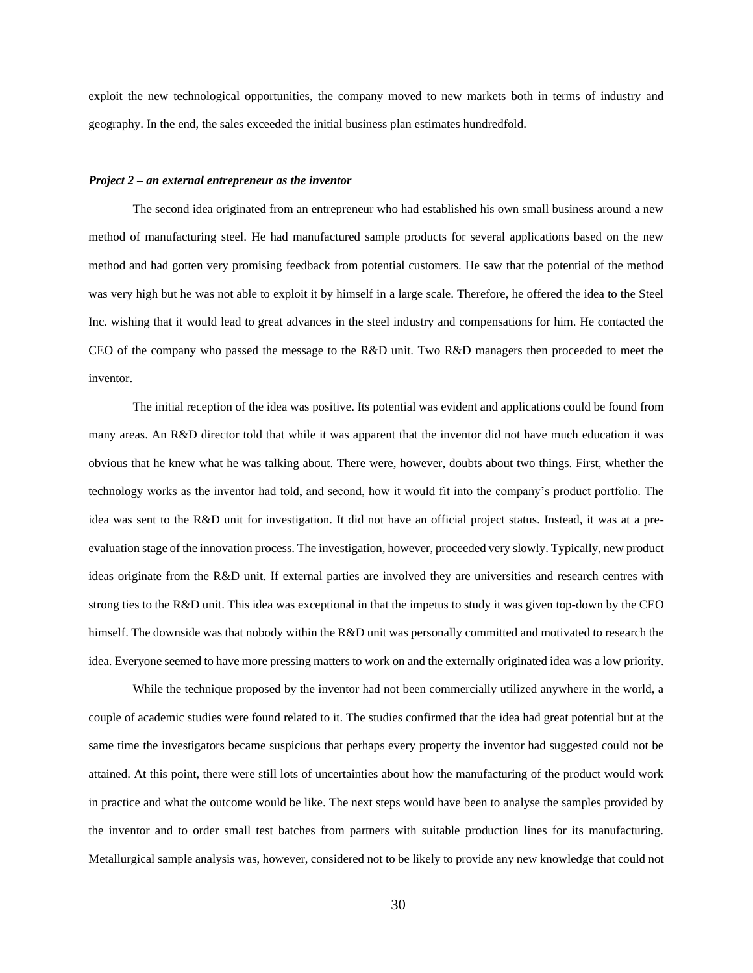exploit the new technological opportunities, the company moved to new markets both in terms of industry and geography. In the end, the sales exceeded the initial business plan estimates hundredfold.

#### *Project 2 – an external entrepreneur as the inventor*

The second idea originated from an entrepreneur who had established his own small business around a new method of manufacturing steel. He had manufactured sample products for several applications based on the new method and had gotten very promising feedback from potential customers. He saw that the potential of the method was very high but he was not able to exploit it by himself in a large scale. Therefore, he offered the idea to the Steel Inc. wishing that it would lead to great advances in the steel industry and compensations for him. He contacted the CEO of the company who passed the message to the R&D unit. Two R&D managers then proceeded to meet the inventor.

The initial reception of the idea was positive. Its potential was evident and applications could be found from many areas. An R&D director told that while it was apparent that the inventor did not have much education it was obvious that he knew what he was talking about. There were, however, doubts about two things. First, whether the technology works as the inventor had told, and second, how it would fit into the company's product portfolio. The idea was sent to the R&D unit for investigation. It did not have an official project status. Instead, it was at a preevaluation stage of the innovation process. The investigation, however, proceeded very slowly. Typically, new product ideas originate from the R&D unit. If external parties are involved they are universities and research centres with strong ties to the R&D unit. This idea was exceptional in that the impetus to study it was given top-down by the CEO himself. The downside was that nobody within the R&D unit was personally committed and motivated to research the idea. Everyone seemed to have more pressing matters to work on and the externally originated idea was a low priority.

While the technique proposed by the inventor had not been commercially utilized anywhere in the world, a couple of academic studies were found related to it. The studies confirmed that the idea had great potential but at the same time the investigators became suspicious that perhaps every property the inventor had suggested could not be attained. At this point, there were still lots of uncertainties about how the manufacturing of the product would work in practice and what the outcome would be like. The next steps would have been to analyse the samples provided by the inventor and to order small test batches from partners with suitable production lines for its manufacturing. Metallurgical sample analysis was, however, considered not to be likely to provide any new knowledge that could not